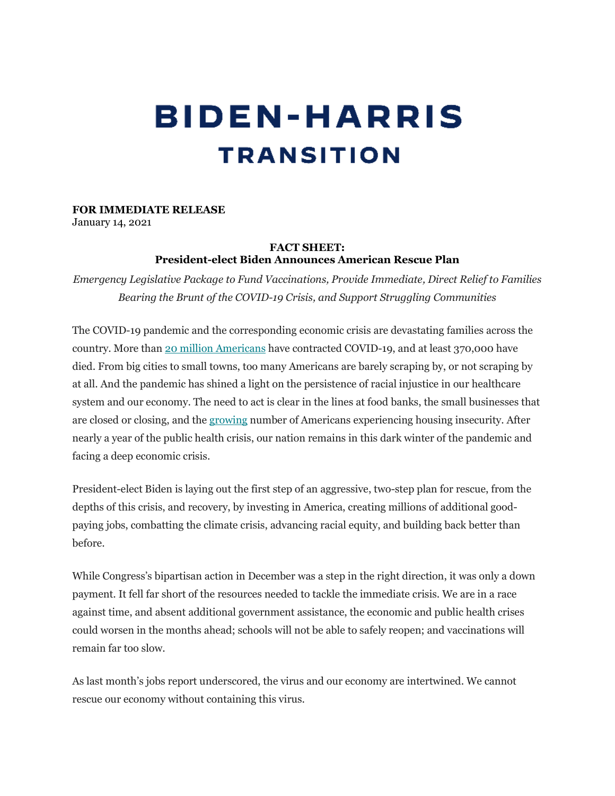# **BIDEN-HARRIS TRANSITION**

## **FOR IMMEDIATE RELEASE**

January 14, 2021

### **FACT SHEET: President-elect Biden Announces American Rescue Plan**

*Emergency Legislative Package to Fund Vaccinations, Provide Immediate, Direct Relief to Families Bearing the Brunt of the COVID-19 Crisis, and Support Struggling Communities*

The COVID-19 pandemic and the corresponding economic crisis are devastating families across the country. More than [20 million Americans](https://nam11.safelinks.protection.outlook.com/?url=https%3A%2F%2Fbuildbackbetter.us2.list-manage.com%2Ftrack%2Fclick%3Fu%3D8c306f1270b84f82f1a14dd29%26id%3De2787dc9ca%26e%3Df4f9b947e7&data=04%7C01%7C%7C9a5643c7fe7b41db9c8908d8b8d8e8c8%7C86c0e625486c4605be4d2eb57c638f37%7C1%7C0%7C637462589053268696%7CUnknown%7CTWFpbGZsb3d8eyJWIjoiMC4wLjAwMDAiLCJQIjoiV2luMzIiLCJBTiI6Ik1haWwiLCJXVCI6Mn0%3D%7C1000&sdata=i16UKgG70Fu0W4Aae8tU3ghKej5rVHKSl%2FPF1geaxT0%3D&reserved=0) have contracted COVID-19, and at least 370,000 have died. From big cities to small towns, too many Americans are barely scraping by, or not scraping by at all. And the pandemic has shined a light on the persistence of racial injustice in our healthcare system and our economy. The need to act is clear in the lines at food banks, the small businesses that are closed or closing, and the [growing](https://nam11.safelinks.protection.outlook.com/?url=https%3A%2F%2Fbuildbackbetter.us2.list-manage.com%2Ftrack%2Fclick%3Fu%3D8c306f1270b84f82f1a14dd29%26id%3Db6b25b1d28%26e%3Df4f9b947e7&data=04%7C01%7C%7C9a5643c7fe7b41db9c8908d8b8d8e8c8%7C86c0e625486c4605be4d2eb57c638f37%7C1%7C0%7C637462589053268696%7CUnknown%7CTWFpbGZsb3d8eyJWIjoiMC4wLjAwMDAiLCJQIjoiV2luMzIiLCJBTiI6Ik1haWwiLCJXVCI6Mn0%3D%7C1000&sdata=epIs29OXANyClcxPqBvUvomPAdiWc33A%2BogjVqwwHSU%3D&reserved=0) number of Americans experiencing housing insecurity. After nearly a year of the public health crisis, our nation remains in this dark winter of the pandemic and facing a deep economic crisis.

President-elect Biden is laying out the first step of an aggressive, two-step plan for rescue, from the depths of this crisis, and recovery, by investing in America, creating millions of additional goodpaying jobs, combatting the climate crisis, advancing racial equity, and building back better than before.

While Congress's bipartisan action in December was a step in the right direction, it was only a down payment. It fell far short of the resources needed to tackle the immediate crisis. We are in a race against time, and absent additional government assistance, the economic and public health crises could worsen in the months ahead; schools will not be able to safely reopen; and vaccinations will remain far too slow.

As last month's jobs report underscored, the virus and our economy are intertwined. We cannot rescue our economy without containing this virus.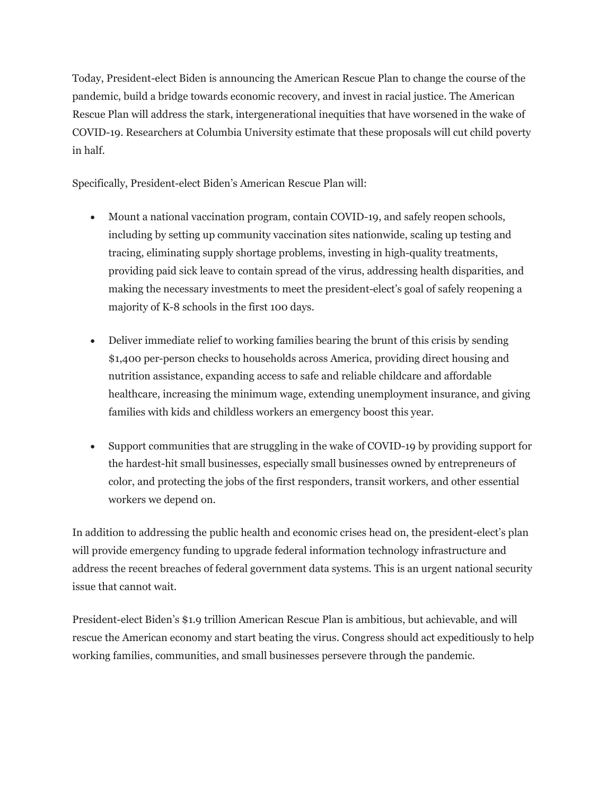Today, President-elect Biden is announcing the American Rescue Plan to change the course of the pandemic, build a bridge towards economic recovery, and invest in racial justice. The American Rescue Plan will address the stark, intergenerational inequities that have worsened in the wake of COVID-19. Researchers at Columbia University estimate that these proposals will cut child poverty in half.

Specifically, President-elect Biden's American Rescue Plan will:

- Mount a national vaccination program, contain COVID-19, and safely reopen schools, including by setting up community vaccination sites nationwide, scaling up testing and tracing, eliminating supply shortage problems, investing in high-quality treatments, providing paid sick leave to contain spread of the virus, addressing health disparities, and making the necessary investments to meet the president-elect's goal of safely reopening a majority of K-8 schools in the first 100 days.
- Deliver immediate relief to working families bearing the brunt of this crisis by sending \$1,400 per-person checks to households across America, providing direct housing and nutrition assistance, expanding access to safe and reliable childcare and affordable healthcare, increasing the minimum wage, extending unemployment insurance, and giving families with kids and childless workers an emergency boost this year.
- Support communities that are struggling in the wake of COVID-19 by providing support for the hardest-hit small businesses, especially small businesses owned by entrepreneurs of color, and protecting the jobs of the first responders, transit workers, and other essential workers we depend on.

In addition to addressing the public health and economic crises head on, the president-elect's plan will provide emergency funding to upgrade federal information technology infrastructure and address the recent breaches of federal government data systems. This is an urgent national security issue that cannot wait.

President-elect Biden's \$1.9 trillion American Rescue Plan is ambitious, but achievable, and will rescue the American economy and start beating the virus. Congress should act expeditiously to help working families, communities, and small businesses persevere through the pandemic.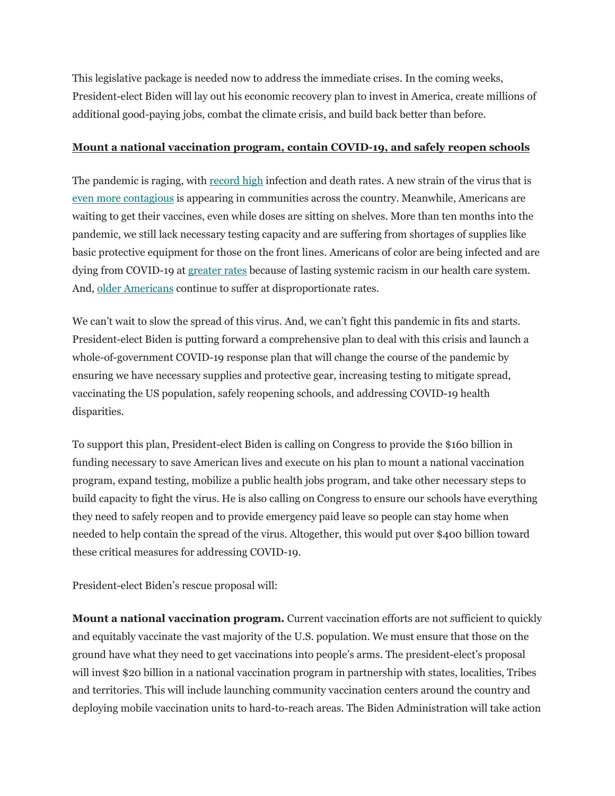This legislative package is needed now to address the immediate crises. In the coming weeks, President-elect Biden will lay out his economic recovery plan to invest in America, create millions of additional good-paying jobs, combat the climate crisis, and build back better than before.

## **Mount a national vaccination program, contain COVID-19, and safely reopen schools**

The pandemic is raging, with [record high](https://nam11.safelinks.protection.outlook.com/?url=https%3A%2F%2Fbuildbackbetter.us2.list-manage.com%2Ftrack%2Fclick%3Fu%3D8c306f1270b84f82f1a14dd29%26id%3D081b0c193f%26e%3Df4f9b947e7&data=04%7C01%7C%7C9a5643c7fe7b41db9c8908d8b8d8e8c8%7C86c0e625486c4605be4d2eb57c638f37%7C1%7C0%7C637462589053278701%7CUnknown%7CTWFpbGZsb3d8eyJWIjoiMC4wLjAwMDAiLCJQIjoiV2luMzIiLCJBTiI6Ik1haWwiLCJXVCI6Mn0%3D%7C1000&sdata=SMbFvsnXgAnZd4TuEW1PdhAhRNl9cMm62WKi%2BHwHq%2Bw%3D&reserved=0) infection and death rates. A new strain of the virus that is [even more contagious](https://nam11.safelinks.protection.outlook.com/?url=https%3A%2F%2Fbuildbackbetter.us2.list-manage.com%2Ftrack%2Fclick%3Fu%3D8c306f1270b84f82f1a14dd29%26id%3D764b17f97c%26e%3Df4f9b947e7&data=04%7C01%7C%7C9a5643c7fe7b41db9c8908d8b8d8e8c8%7C86c0e625486c4605be4d2eb57c638f37%7C1%7C0%7C637462589053278701%7CUnknown%7CTWFpbGZsb3d8eyJWIjoiMC4wLjAwMDAiLCJQIjoiV2luMzIiLCJBTiI6Ik1haWwiLCJXVCI6Mn0%3D%7C1000&sdata=wkjy4xvv0700j%2BMoKazDDexz%2Fw6LLqAk6XMM0WnN4Jo%3D&reserved=0) is appearing in communities across the country. Meanwhile, Americans are waiting to get their vaccines, even while doses are sitting on shelves. More than ten months into the pandemic, we still lack necessary testing capacity and are suffering from shortages of supplies like basic protective equipment for those on the front lines. Americans of color are being infected and are dying from COVID-19 at [greater rates](https://nam11.safelinks.protection.outlook.com/?url=https%3A%2F%2Fbuildbackbetter.us2.list-manage.com%2Ftrack%2Fclick%3Fu%3D8c306f1270b84f82f1a14dd29%26id%3Da972d103e4%26e%3Df4f9b947e7&data=04%7C01%7C%7C9a5643c7fe7b41db9c8908d8b8d8e8c8%7C86c0e625486c4605be4d2eb57c638f37%7C1%7C0%7C637462589053288690%7CUnknown%7CTWFpbGZsb3d8eyJWIjoiMC4wLjAwMDAiLCJQIjoiV2luMzIiLCJBTiI6Ik1haWwiLCJXVCI6Mn0%3D%7C1000&sdata=oNn03iT3k%2BuGTXQbn85T8f3niOiuMH3SBUTgS8%2FMv%2Fk%3D&reserved=0) because of lasting systemic racism in our health care system. And, [older Americans](https://nam11.safelinks.protection.outlook.com/?url=https%3A%2F%2Fbuildbackbetter.us2.list-manage.com%2Ftrack%2Fclick%3Fu%3D8c306f1270b84f82f1a14dd29%26id%3D1be6c0c671%26e%3Df4f9b947e7&data=04%7C01%7C%7C9a5643c7fe7b41db9c8908d8b8d8e8c8%7C86c0e625486c4605be4d2eb57c638f37%7C1%7C0%7C637462589053288690%7CUnknown%7CTWFpbGZsb3d8eyJWIjoiMC4wLjAwMDAiLCJQIjoiV2luMzIiLCJBTiI6Ik1haWwiLCJXVCI6Mn0%3D%7C1000&sdata=Urt8zSxWOMnWzAmO0xKPkfFBwNo7WmuWF%2FH9LwEITe4%3D&reserved=0) continue to suffer at disproportionate rates.

We can't wait to slow the spread of this virus. And, we can't fight this pandemic in fits and starts. President-elect Biden is putting forward a comprehensive plan to deal with this crisis and launch a whole-of-government COVID-19 response plan that will change the course of the pandemic by ensuring we have necessary supplies and protective gear, increasing testing to mitigate spread, vaccinating the US population, safely reopening schools, and addressing COVID-19 health disparities.

To support this plan, President-elect Biden is calling on Congress to provide the \$160 billion in funding necessary to save American lives and execute on his plan to mount a national vaccination program, expand testing, mobilize a public health jobs program, and take other necessary steps to build capacity to fight the virus. He is also calling on Congress to ensure our schools have everything they need to safely reopen and to provide emergency paid leave so people can stay home when needed to help contain the spread of the virus. Altogether, this would put over \$400 billion toward these critical measures for addressing COVID-19.

President-elect Biden's rescue proposal will:

**Mount a national vaccination program.** Current vaccination efforts are not sufficient to quickly and equitably vaccinate the vast majority of the U.S. population. We must ensure that those on the ground have what they need to get vaccinations into people's arms. The president-elect's proposal will invest \$20 billion in a national vaccination program in partnership with states, localities, Tribes and territories. This will include launching community vaccination centers around the country and deploying mobile vaccination units to hard-to-reach areas. The Biden Administration will take action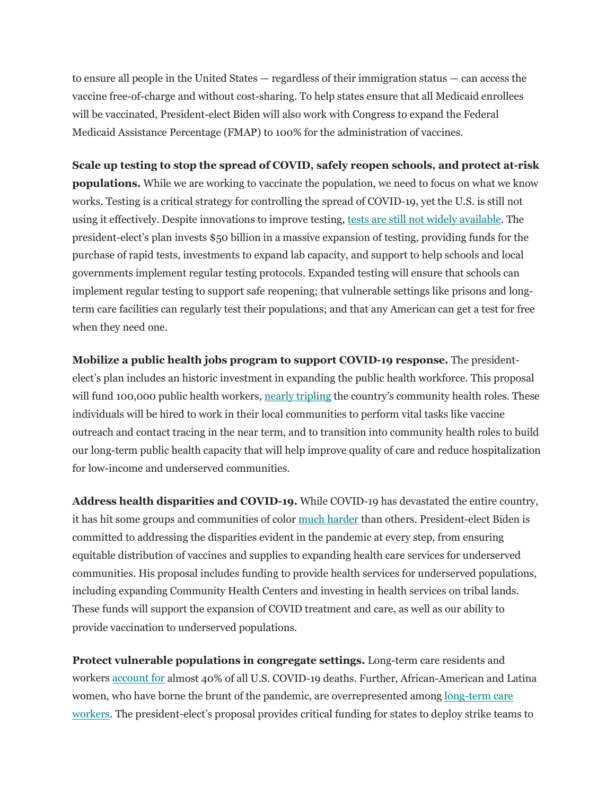to ensure all people in the United States — regardless of their immigration status — can access the vaccine free-of-charge and without cost-sharing. To help states ensure that all Medicaid enrollees will be vaccinated, President-elect Biden will also work with Congress to expand the Federal Medicaid Assistance Percentage (FMAP) to 100% for the administration of vaccines.

**Scale up testing to stop the spread of COVID, safely reopen schools, and protect at-risk populations.** While we are working to vaccinate the population, we need to focus on what we know works. Testing is a critical strategy for controlling the spread of COVID-19, yet the U.S. is still not using it effectively. Despite innovations to improve testing, [tests are still not widely](https://nam11.safelinks.protection.outlook.com/?url=https%3A%2F%2Fbuildbackbetter.us2.list-manage.com%2Ftrack%2Fclick%3Fu%3D8c306f1270b84f82f1a14dd29%26id%3De50e37748d%26e%3Df4f9b947e7&data=04%7C01%7C%7C9a5643c7fe7b41db9c8908d8b8d8e8c8%7C86c0e625486c4605be4d2eb57c638f37%7C1%7C0%7C637462589053298681%7CUnknown%7CTWFpbGZsb3d8eyJWIjoiMC4wLjAwMDAiLCJQIjoiV2luMzIiLCJBTiI6Ik1haWwiLCJXVCI6Mn0%3D%7C1000&sdata=q1Or1SFmvSMmkR445FJsiy7ewRtgXt%2FuKy2GHFhHol8%3D&reserved=0) available. The president-elect's plan invests \$50 billion in a massive expansion of testing, providing funds for the purchase of rapid tests, investments to expand lab capacity, and support to help schools and local governments implement regular testing protocols. Expanded testing will ensure that schools can implement regular testing to support safe reopening; that vulnerable settings like prisons and longterm care facilities can regularly test their populations; and that any American can get a test for free when they need one.

**Mobilize a public health jobs program to support COVID-19 response.** The presidentelect's plan includes an historic investment in expanding the public health workforce. This proposal will fund 100,000 public health workers, [nearly tripling](https://nam11.safelinks.protection.outlook.com/?url=https%3A%2F%2Fbuildbackbetter.us2.list-manage.com%2Ftrack%2Fclick%3Fu%3D8c306f1270b84f82f1a14dd29%26id%3D3bfce16bdf%26e%3Df4f9b947e7&data=04%7C01%7C%7C9a5643c7fe7b41db9c8908d8b8d8e8c8%7C86c0e625486c4605be4d2eb57c638f37%7C1%7C0%7C637462589053298681%7CUnknown%7CTWFpbGZsb3d8eyJWIjoiMC4wLjAwMDAiLCJQIjoiV2luMzIiLCJBTiI6Ik1haWwiLCJXVCI6Mn0%3D%7C1000&sdata=H%2F66Rxg%2FShy%2Fgw2FxOtuT4q0rGxRdsil2wfcqlkhoog%3D&reserved=0) the country's community health roles. These individuals will be hired to work in their local communities to perform vital tasks like vaccine outreach and contact tracing in the near term, and to transition into community health roles to build our long-term public health capacity that will help improve quality of care and reduce hospitalization for low-income and underserved communities.

**Address health disparities and COVID-19.** While COVID-19 has devastated the entire country, it has hit some groups and communities of color [much harder](https://nam11.safelinks.protection.outlook.com/?url=https%3A%2F%2Fbuildbackbetter.us2.list-manage.com%2Ftrack%2Fclick%3Fu%3D8c306f1270b84f82f1a14dd29%26id%3Db44b403090%26e%3Df4f9b947e7&data=04%7C01%7C%7C9a5643c7fe7b41db9c8908d8b8d8e8c8%7C86c0e625486c4605be4d2eb57c638f37%7C1%7C0%7C637462589053308676%7CUnknown%7CTWFpbGZsb3d8eyJWIjoiMC4wLjAwMDAiLCJQIjoiV2luMzIiLCJBTiI6Ik1haWwiLCJXVCI6Mn0%3D%7C1000&sdata=OeAOx9RlK2tR5JpVreFxevMHWGbDcaNqdUyTeuA5ORI%3D&reserved=0) than others. President-elect Biden is committed to addressing the disparities evident in the pandemic at every step, from ensuring equitable distribution of vaccines and supplies to expanding health care services for underserved communities. His proposal includes funding to provide health services for underserved populations, including expanding Community Health Centers and investing in health services on tribal lands. These funds will support the expansion of COVID treatment and care, as well as our ability to provide vaccination to underserved populations.

**Protect vulnerable populations in congregate settings.** Long-term care residents and workers [account for](https://nam11.safelinks.protection.outlook.com/?url=https%3A%2F%2Fbuildbackbetter.us2.list-manage.com%2Ftrack%2Fclick%3Fu%3D8c306f1270b84f82f1a14dd29%26id%3D45538a74c5%26e%3Df4f9b947e7&data=04%7C01%7C%7C9a5643c7fe7b41db9c8908d8b8d8e8c8%7C86c0e625486c4605be4d2eb57c638f37%7C1%7C0%7C637462589053308676%7CUnknown%7CTWFpbGZsb3d8eyJWIjoiMC4wLjAwMDAiLCJQIjoiV2luMzIiLCJBTiI6Ik1haWwiLCJXVCI6Mn0%3D%7C1000&sdata=H3LI4qKHcS2ZvbkbDxmIPachot7zdi5%2BKyhWez5CXe0%3D&reserved=0) almost 40% of all U.S. COVID-19 deaths. Further, African-American and Latina women, who have borne the brunt of the pandemic, are overrepresented among [long-term care](https://nam11.safelinks.protection.outlook.com/?url=https%3A%2F%2Fbuildbackbetter.us2.list-manage.com%2Ftrack%2Fclick%3Fu%3D8c306f1270b84f82f1a14dd29%26id%3D240e205eda%26e%3Df4f9b947e7&data=04%7C01%7C%7C9a5643c7fe7b41db9c8908d8b8d8e8c8%7C86c0e625486c4605be4d2eb57c638f37%7C1%7C0%7C637462589053318671%7CUnknown%7CTWFpbGZsb3d8eyJWIjoiMC4wLjAwMDAiLCJQIjoiV2luMzIiLCJBTiI6Ik1haWwiLCJXVCI6Mn0%3D%7C1000&sdata=YtA34M5lUTuxUgNYGzon40YO1mauRrn5rAlga8T1mgU%3D&reserved=0)  [workers.](https://nam11.safelinks.protection.outlook.com/?url=https%3A%2F%2Fbuildbackbetter.us2.list-manage.com%2Ftrack%2Fclick%3Fu%3D8c306f1270b84f82f1a14dd29%26id%3D240e205eda%26e%3Df4f9b947e7&data=04%7C01%7C%7C9a5643c7fe7b41db9c8908d8b8d8e8c8%7C86c0e625486c4605be4d2eb57c638f37%7C1%7C0%7C637462589053318671%7CUnknown%7CTWFpbGZsb3d8eyJWIjoiMC4wLjAwMDAiLCJQIjoiV2luMzIiLCJBTiI6Ik1haWwiLCJXVCI6Mn0%3D%7C1000&sdata=YtA34M5lUTuxUgNYGzon40YO1mauRrn5rAlga8T1mgU%3D&reserved=0) The president-elect's proposal provides critical funding for states to deploy strike teams to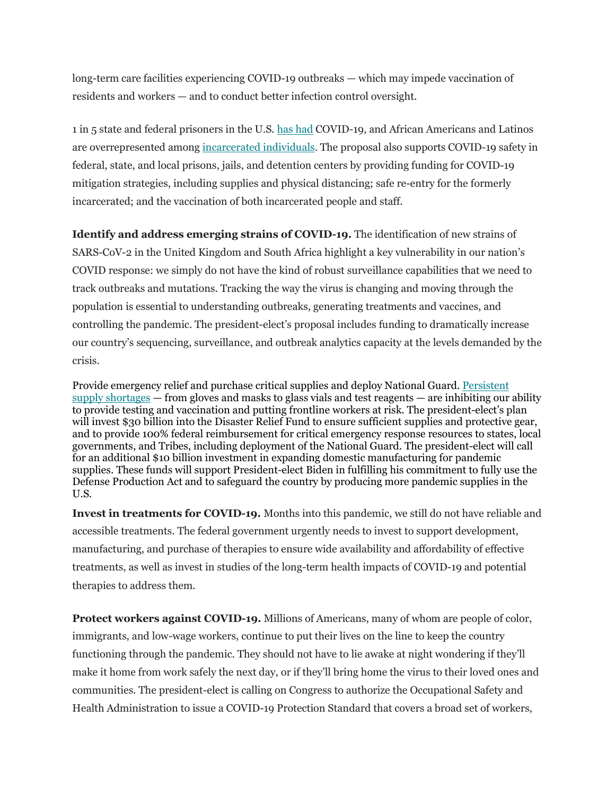long-term care facilities experiencing COVID-19 outbreaks — which may impede vaccination of residents and workers — and to conduct better infection control oversight.

1 in 5 state and federal prisoners in the U.S. [has had](https://nam11.safelinks.protection.outlook.com/?url=https%3A%2F%2Fbuildbackbetter.us2.list-manage.com%2Ftrack%2Fclick%3Fu%3D8c306f1270b84f82f1a14dd29%26id%3D0c3485d495%26e%3Df4f9b947e7&data=04%7C01%7C%7C9a5643c7fe7b41db9c8908d8b8d8e8c8%7C86c0e625486c4605be4d2eb57c638f37%7C1%7C0%7C637462589053318671%7CUnknown%7CTWFpbGZsb3d8eyJWIjoiMC4wLjAwMDAiLCJQIjoiV2luMzIiLCJBTiI6Ik1haWwiLCJXVCI6Mn0%3D%7C1000&sdata=%2B5yIEFwZCwsKnHHVpaTzKzsuAp1usQG1pfJfjAHNR6Y%3D&reserved=0) COVID-19, and African Americans and Latinos are overrepresented among [incarcerated individuals.](https://nam11.safelinks.protection.outlook.com/?url=https%3A%2F%2Fbuildbackbetter.us2.list-manage.com%2Ftrack%2Fclick%3Fu%3D8c306f1270b84f82f1a14dd29%26id%3D66eeb94829%26e%3Df4f9b947e7&data=04%7C01%7C%7C9a5643c7fe7b41db9c8908d8b8d8e8c8%7C86c0e625486c4605be4d2eb57c638f37%7C1%7C0%7C637462589053328668%7CUnknown%7CTWFpbGZsb3d8eyJWIjoiMC4wLjAwMDAiLCJQIjoiV2luMzIiLCJBTiI6Ik1haWwiLCJXVCI6Mn0%3D%7C1000&sdata=OTlB5GA6x5YwjRqE2fW08KtWN1GNAu%2BdICJeWJVM9bs%3D&reserved=0) The proposal also supports COVID-19 safety in federal, state, and local prisons, jails, and detention centers by providing funding for COVID-19 mitigation strategies, including supplies and physical distancing; safe re-entry for the formerly incarcerated; and the vaccination of both incarcerated people and staff.

**Identify and address emerging strains of COVID-19.** The identification of new strains of SARS-CoV-2 in the United Kingdom and South Africa highlight a key vulnerability in our nation's COVID response: we simply do not have the kind of robust surveillance capabilities that we need to track outbreaks and mutations. Tracking the way the virus is changing and moving through the population is essential to understanding outbreaks, generating treatments and vaccines, and controlling the pandemic. The president-elect's proposal includes funding to dramatically increase our country's sequencing, surveillance, and outbreak analytics capacity at the levels demanded by the crisis.

Provide emergency relief and purchase critical supplies and deploy National Guard. [Persistent](https://nam11.safelinks.protection.outlook.com/?url=https%3A%2F%2Fbuildbackbetter.us2.list-manage.com%2Ftrack%2Fclick%3Fu%3D8c306f1270b84f82f1a14dd29%26id%3Ddb8cd0812c%26e%3Df4f9b947e7&data=04%7C01%7C%7C9a5643c7fe7b41db9c8908d8b8d8e8c8%7C86c0e625486c4605be4d2eb57c638f37%7C1%7C0%7C637462589053328668%7CUnknown%7CTWFpbGZsb3d8eyJWIjoiMC4wLjAwMDAiLCJQIjoiV2luMzIiLCJBTiI6Ik1haWwiLCJXVCI6Mn0%3D%7C1000&sdata=06sTaKzOxUGe7EurnmlDCs16sVRnlHsZf6Oa6CgLM10%3D&reserved=0)  [supply shortages](https://nam11.safelinks.protection.outlook.com/?url=https%3A%2F%2Fbuildbackbetter.us2.list-manage.com%2Ftrack%2Fclick%3Fu%3D8c306f1270b84f82f1a14dd29%26id%3Ddb8cd0812c%26e%3Df4f9b947e7&data=04%7C01%7C%7C9a5643c7fe7b41db9c8908d8b8d8e8c8%7C86c0e625486c4605be4d2eb57c638f37%7C1%7C0%7C637462589053328668%7CUnknown%7CTWFpbGZsb3d8eyJWIjoiMC4wLjAwMDAiLCJQIjoiV2luMzIiLCJBTiI6Ik1haWwiLCJXVCI6Mn0%3D%7C1000&sdata=06sTaKzOxUGe7EurnmlDCs16sVRnlHsZf6Oa6CgLM10%3D&reserved=0) — from gloves and masks to glass vials and test reagents — are inhibiting our ability to provide testing and vaccination and putting frontline workers at risk. The president-elect's plan will invest \$30 billion into the Disaster Relief Fund to ensure sufficient supplies and protective gear, and to provide 100% federal reimbursement for critical emergency response resources to states, local governments, and Tribes, including deployment of the National Guard. The president-elect will call for an additional \$10 billion investment in expanding domestic manufacturing for pandemic supplies. These funds will support President-elect Biden in fulfilling his commitment to fully use the Defense Production Act and to safeguard the country by producing more pandemic supplies in the U.S.

**Invest in treatments for COVID-19.** Months into this pandemic, we still do not have reliable and accessible treatments. The federal government urgently needs to invest to support development, manufacturing, and purchase of therapies to ensure wide availability and affordability of effective treatments, as well as invest in studies of the long-term health impacts of COVID-19 and potential therapies to address them.

**Protect workers against COVID-19.** Millions of Americans, many of whom are people of color, immigrants, and low-wage workers, continue to put their lives on the line to keep the country functioning through the pandemic. They should not have to lie awake at night wondering if they'll make it home from work safely the next day, or if they'll bring home the virus to their loved ones and communities. The president-elect is calling on Congress to authorize the Occupational Safety and Health Administration to issue a COVID-19 Protection Standard that covers a broad set of workers,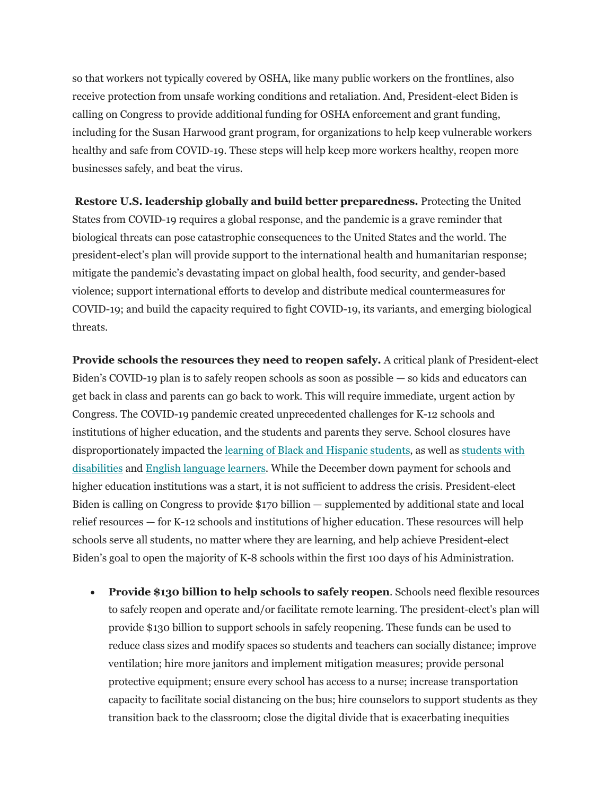so that workers not typically covered by OSHA, like many public workers on the frontlines, also receive protection from unsafe working conditions and retaliation. And, President-elect Biden is calling on Congress to provide additional funding for OSHA enforcement and grant funding, including for the Susan Harwood grant program, for organizations to help keep vulnerable workers healthy and safe from COVID-19. These steps will help keep more workers healthy, reopen more businesses safely, and beat the virus.

**Restore U.S. leadership globally and build better preparedness.** Protecting the United States from COVID-19 requires a global response, and the pandemic is a grave reminder that biological threats can pose catastrophic consequences to the United States and the world. The president-elect's plan will provide support to the international health and humanitarian response; mitigate the pandemic's devastating impact on global health, food security, and gender-based violence; support international efforts to develop and distribute medical countermeasures for COVID-19; and build the capacity required to fight COVID-19, its variants, and emerging biological threats.

**Provide schools the resources they need to reopen safely.** A critical plank of President-elect Biden's COVID-19 plan is to safely reopen schools as soon as possible — so kids and educators can get back in class and parents can go back to work. This will require immediate, urgent action by Congress. The COVID-19 pandemic created unprecedented challenges for K-12 schools and institutions of higher education, and the students and parents they serve. School closures have disproportionately impacted the [learning of Black and Hispanic students,](https://nam11.safelinks.protection.outlook.com/?url=https%3A%2F%2Fbuildbackbetter.us2.list-manage.com%2Ftrack%2Fclick%3Fu%3D8c306f1270b84f82f1a14dd29%26id%3Df14b7d6f58%26e%3Df4f9b947e7&data=04%7C01%7C%7C9a5643c7fe7b41db9c8908d8b8d8e8c8%7C86c0e625486c4605be4d2eb57c638f37%7C1%7C0%7C637462589053328668%7CUnknown%7CTWFpbGZsb3d8eyJWIjoiMC4wLjAwMDAiLCJQIjoiV2luMzIiLCJBTiI6Ik1haWwiLCJXVCI6Mn0%3D%7C1000&sdata=7qgGEiX5cTSs8c%2FzRhY1U5mfm19UwT61pDuQZpxyttk%3D&reserved=0) as well as [students with](https://nam11.safelinks.protection.outlook.com/?url=https%3A%2F%2Fbuildbackbetter.us2.list-manage.com%2Ftrack%2Fclick%3Fu%3D8c306f1270b84f82f1a14dd29%26id%3D2f90f155e1%26e%3Df4f9b947e7&data=04%7C01%7C%7C9a5643c7fe7b41db9c8908d8b8d8e8c8%7C86c0e625486c4605be4d2eb57c638f37%7C1%7C0%7C637462589053338658%7CUnknown%7CTWFpbGZsb3d8eyJWIjoiMC4wLjAwMDAiLCJQIjoiV2luMzIiLCJBTiI6Ik1haWwiLCJXVCI6Mn0%3D%7C1000&sdata=AIbaVOlYOtwQL9cDdZwYeyHlTnwPrWzo3OyUewHEJxs%3D&reserved=0)  [disabilities](https://nam11.safelinks.protection.outlook.com/?url=https%3A%2F%2Fbuildbackbetter.us2.list-manage.com%2Ftrack%2Fclick%3Fu%3D8c306f1270b84f82f1a14dd29%26id%3D2f90f155e1%26e%3Df4f9b947e7&data=04%7C01%7C%7C9a5643c7fe7b41db9c8908d8b8d8e8c8%7C86c0e625486c4605be4d2eb57c638f37%7C1%7C0%7C637462589053338658%7CUnknown%7CTWFpbGZsb3d8eyJWIjoiMC4wLjAwMDAiLCJQIjoiV2luMzIiLCJBTiI6Ik1haWwiLCJXVCI6Mn0%3D%7C1000&sdata=AIbaVOlYOtwQL9cDdZwYeyHlTnwPrWzo3OyUewHEJxs%3D&reserved=0) and [English language learners.](https://nam11.safelinks.protection.outlook.com/?url=https%3A%2F%2Fbuildbackbetter.us2.list-manage.com%2Ftrack%2Fclick%3Fu%3D8c306f1270b84f82f1a14dd29%26id%3D47cd4aedf5%26e%3Df4f9b947e7&data=04%7C01%7C%7C9a5643c7fe7b41db9c8908d8b8d8e8c8%7C86c0e625486c4605be4d2eb57c638f37%7C1%7C0%7C637462589053348656%7CUnknown%7CTWFpbGZsb3d8eyJWIjoiMC4wLjAwMDAiLCJQIjoiV2luMzIiLCJBTiI6Ik1haWwiLCJXVCI6Mn0%3D%7C1000&sdata=IL%2FtetGyRXwIXfjZZl9lqAQFhqQUMIEU9P4Gg7AzeS0%3D&reserved=0) While the December down payment for schools and higher education institutions was a start, it is not sufficient to address the crisis. President-elect Biden is calling on Congress to provide \$170 billion — supplemented by additional state and local relief resources — for K-12 schools and institutions of higher education. These resources will help schools serve all students, no matter where they are learning, and help achieve President-elect Biden's goal to open the majority of K-8 schools within the first 100 days of his Administration.

• **Provide \$130 billion to help schools to safely reopen**. Schools need flexible resources to safely reopen and operate and/or facilitate remote learning. The president-elect's plan will provide \$130 billion to support schools in safely reopening. These funds can be used to reduce class sizes and modify spaces so students and teachers can socially distance; improve ventilation; hire more janitors and implement mitigation measures; provide personal protective equipment; ensure every school has access to a nurse; increase transportation capacity to facilitate social distancing on the bus; hire counselors to support students as they transition back to the classroom; close the digital divide that is exacerbating inequities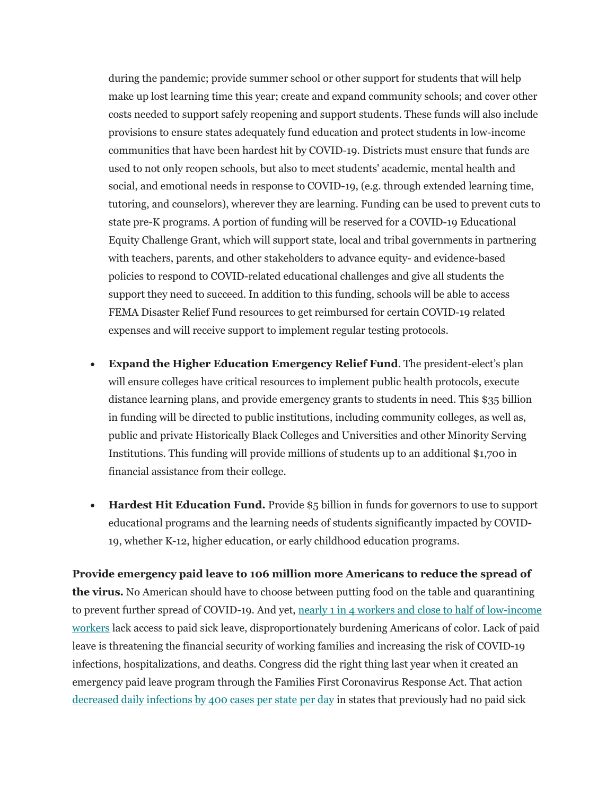during the pandemic; provide summer school or other support for students that will help make up lost learning time this year; create and expand community schools; and cover other costs needed to support safely reopening and support students. These funds will also include provisions to ensure states adequately fund education and protect students in low-income communities that have been hardest hit by COVID-19. Districts must ensure that funds are used to not only reopen schools, but also to meet students' academic, mental health and social, and emotional needs in response to COVID-19, (e.g. through extended learning time, tutoring, and counselors), wherever they are learning. Funding can be used to prevent cuts to state pre-K programs. A portion of funding will be reserved for a COVID-19 Educational Equity Challenge Grant, which will support state, local and tribal governments in partnering with teachers, parents, and other stakeholders to advance equity- and evidence-based policies to respond to COVID-related educational challenges and give all students the support they need to succeed. In addition to this funding, schools will be able to access FEMA Disaster Relief Fund resources to get reimbursed for certain COVID-19 related expenses and will receive support to implement regular testing protocols.

- **Expand the Higher Education Emergency Relief Fund**. The president-elect's plan will ensure colleges have critical resources to implement public health protocols, execute distance learning plans, and provide emergency grants to students in need. This \$35 billion in funding will be directed to public institutions, including community colleges, as well as, public and private Historically Black Colleges and Universities and other Minority Serving Institutions. This funding will provide millions of students up to an additional \$1,700 in financial assistance from their college.
- **Hardest Hit Education Fund.** Provide \$5 billion in funds for governors to use to support educational programs and the learning needs of students significantly impacted by COVID-19, whether K-12, higher education, or early childhood education programs.

**Provide emergency paid leave to 106 million more Americans to reduce the spread of the virus.** No American should have to choose between putting food on the table and quarantining to prevent further spread of COVID-19. And yet, [nearly 1 in 4 workers and close to half of low-income](https://nam11.safelinks.protection.outlook.com/?url=https%3A%2F%2Fbuildbackbetter.us2.list-manage.com%2Ftrack%2Fclick%3Fu%3D8c306f1270b84f82f1a14dd29%26id%3Dbf426674f8%26e%3Df4f9b947e7&data=04%7C01%7C%7C9a5643c7fe7b41db9c8908d8b8d8e8c8%7C86c0e625486c4605be4d2eb57c638f37%7C1%7C0%7C637462589053348656%7CUnknown%7CTWFpbGZsb3d8eyJWIjoiMC4wLjAwMDAiLCJQIjoiV2luMzIiLCJBTiI6Ik1haWwiLCJXVCI6Mn0%3D%7C1000&sdata=AOEAglcwJuOUu9ptXarRrhWipaOULbb6U%2BzCu%2Ft0BI0%3D&reserved=0)  [workers](https://nam11.safelinks.protection.outlook.com/?url=https%3A%2F%2Fbuildbackbetter.us2.list-manage.com%2Ftrack%2Fclick%3Fu%3D8c306f1270b84f82f1a14dd29%26id%3Dbf426674f8%26e%3Df4f9b947e7&data=04%7C01%7C%7C9a5643c7fe7b41db9c8908d8b8d8e8c8%7C86c0e625486c4605be4d2eb57c638f37%7C1%7C0%7C637462589053348656%7CUnknown%7CTWFpbGZsb3d8eyJWIjoiMC4wLjAwMDAiLCJQIjoiV2luMzIiLCJBTiI6Ik1haWwiLCJXVCI6Mn0%3D%7C1000&sdata=AOEAglcwJuOUu9ptXarRrhWipaOULbb6U%2BzCu%2Ft0BI0%3D&reserved=0) lack access to paid sick leave, disproportionately burdening Americans of color. Lack of paid leave is threatening the financial security of working families and increasing the risk of COVID-19 infections, hospitalizations, and deaths. Congress did the right thing last year when it created an emergency paid leave program through the Families First Coronavirus Response Act. That action [decreased daily infections by 400 cases per state per day](https://nam11.safelinks.protection.outlook.com/?url=https%3A%2F%2Fbuildbackbetter.us2.list-manage.com%2Ftrack%2Fclick%3Fu%3D8c306f1270b84f82f1a14dd29%26id%3D6348685434%26e%3Df4f9b947e7&data=04%7C01%7C%7C9a5643c7fe7b41db9c8908d8b8d8e8c8%7C86c0e625486c4605be4d2eb57c638f37%7C1%7C0%7C637462589053348656%7CUnknown%7CTWFpbGZsb3d8eyJWIjoiMC4wLjAwMDAiLCJQIjoiV2luMzIiLCJBTiI6Ik1haWwiLCJXVCI6Mn0%3D%7C1000&sdata=4ZiNyS%2BFKP5v5ouKWCACu9l%2BUmmpfZaEQU0UGH%2BMewI%3D&reserved=0) in states that previously had no paid sick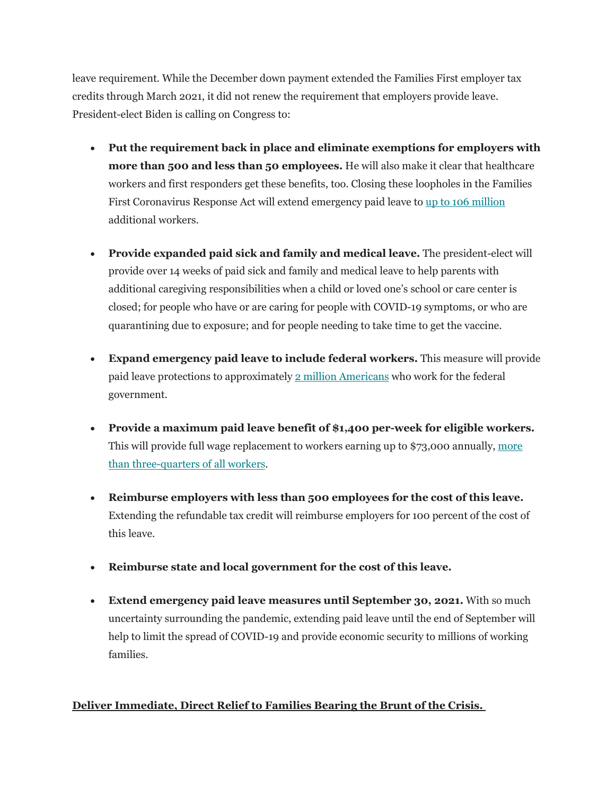leave requirement. While the December down payment extended the Families First employer tax credits through March 2021, it did not renew the requirement that employers provide leave. President-elect Biden is calling on Congress to:

- **Put the requirement back in place and eliminate exemptions for employers with more than 500 and less than 50 employees.** He will also make it clear that healthcare workers and first responders get these benefits, too. Closing these loopholes in the Families First Coronavirus Response Act will extend emergency paid leave to [up to 106 million](https://nam11.safelinks.protection.outlook.com/?url=https%3A%2F%2Fbuildbackbetter.us2.list-manage.com%2Ftrack%2Fclick%3Fu%3D8c306f1270b84f82f1a14dd29%26id%3Dde311b085d%26e%3Df4f9b947e7&data=04%7C01%7C%7C9a5643c7fe7b41db9c8908d8b8d8e8c8%7C86c0e625486c4605be4d2eb57c638f37%7C1%7C0%7C637462589053358648%7CUnknown%7CTWFpbGZsb3d8eyJWIjoiMC4wLjAwMDAiLCJQIjoiV2luMzIiLCJBTiI6Ik1haWwiLCJXVCI6Mn0%3D%7C1000&sdata=SonXXf4cTuYya9CqG66yRFH58WmNwA5Dypc7Wjqsv1Q%3D&reserved=0) additional workers.
- **Provide expanded paid sick and family and medical leave.** The president-elect will provide over 14 weeks of paid sick and family and medical leave to help parents with additional caregiving responsibilities when a child or loved one's school or care center is closed; for people who have or are caring for people with COVID-19 symptoms, or who are quarantining due to exposure; and for people needing to take time to get the vaccine.
- **Expand emergency paid leave to include federal workers.** This measure will provide paid leave protections to approximately [2 million Americans](https://nam11.safelinks.protection.outlook.com/?url=https%3A%2F%2Fbuildbackbetter.us2.list-manage.com%2Ftrack%2Fclick%3Fu%3D8c306f1270b84f82f1a14dd29%26id%3D47d50aa6d4%26e%3Df4f9b947e7&data=04%7C01%7C%7C9a5643c7fe7b41db9c8908d8b8d8e8c8%7C86c0e625486c4605be4d2eb57c638f37%7C1%7C0%7C637462589053358648%7CUnknown%7CTWFpbGZsb3d8eyJWIjoiMC4wLjAwMDAiLCJQIjoiV2luMzIiLCJBTiI6Ik1haWwiLCJXVCI6Mn0%3D%7C1000&sdata=Jps15wwHm5Px150x%2FMLdVAadRiD6NGLHVxjXwAd%2FZgQ%3D&reserved=0) who work for the federal government.
- **Provide a maximum paid leave benefit of \$1,400 per-week for eligible workers.**  This will provide full wage replacement to workers earning up to \$73,000 annually, more [than three-quarters of all workers.](https://nam11.safelinks.protection.outlook.com/?url=https%3A%2F%2Fbuildbackbetter.us2.list-manage.com%2Ftrack%2Fclick%3Fu%3D8c306f1270b84f82f1a14dd29%26id%3Db43456c9f5%26e%3Df4f9b947e7&data=04%7C01%7C%7C9a5643c7fe7b41db9c8908d8b8d8e8c8%7C86c0e625486c4605be4d2eb57c638f37%7C1%7C0%7C637462589053368643%7CUnknown%7CTWFpbGZsb3d8eyJWIjoiMC4wLjAwMDAiLCJQIjoiV2luMzIiLCJBTiI6Ik1haWwiLCJXVCI6Mn0%3D%7C1000&sdata=ZC4gpgozC6o4JFOI%2F9xoz%2FM17lB4VL2GiYXqj2%2FaIzc%3D&reserved=0)
- **Reimburse employers with less than 500 employees for the cost of this leave.**  Extending the refundable tax credit will reimburse employers for 100 percent of the cost of this leave.
- **Reimburse state and local government for the cost of this leave.**
- **Extend emergency paid leave measures until September 30, 2021.** With so much uncertainty surrounding the pandemic, extending paid leave until the end of September will help to limit the spread of COVID-19 and provide economic security to millions of working families.

## **Deliver Immediate, Direct Relief to Families Bearing the Brunt of the Crisis.**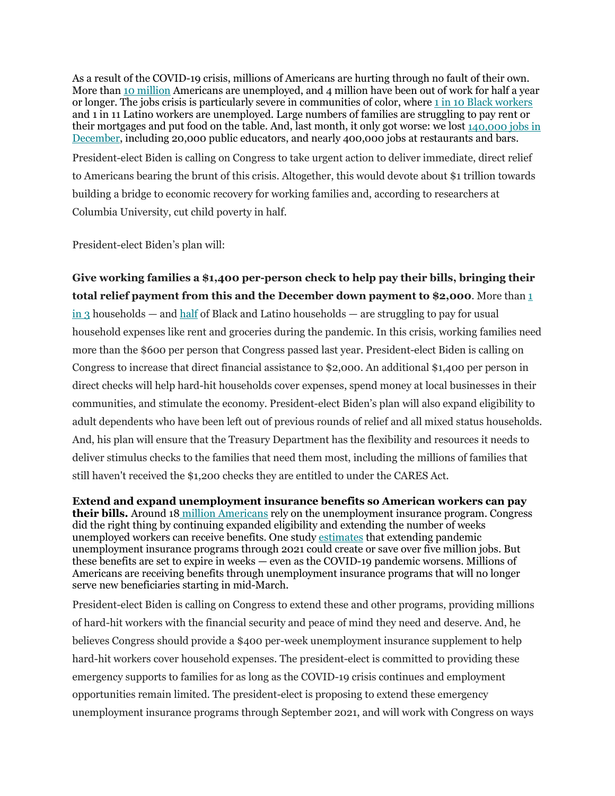As a result of the COVID-19 crisis, millions of Americans are hurting through no fault of their own. More than [10 million](https://nam11.safelinks.protection.outlook.com/?url=https%3A%2F%2Fbuildbackbetter.us2.list-manage.com%2Ftrack%2Fclick%3Fu%3D8c306f1270b84f82f1a14dd29%26id%3D395fafc47b%26e%3Df4f9b947e7&data=04%7C01%7C%7C9a5643c7fe7b41db9c8908d8b8d8e8c8%7C86c0e625486c4605be4d2eb57c638f37%7C1%7C0%7C637462589053368643%7CUnknown%7CTWFpbGZsb3d8eyJWIjoiMC4wLjAwMDAiLCJQIjoiV2luMzIiLCJBTiI6Ik1haWwiLCJXVCI6Mn0%3D%7C1000&sdata=VRlWRZiNMfwo%2FqZNK1ZlHI1lZHgWETZQPAvoFdjIg5s%3D&reserved=0) Americans are unemployed, and 4 million have been out of work for half a year or longer. The jobs crisis is particularly severe in communities of color, where [1 in 10 Black workers](https://nam11.safelinks.protection.outlook.com/?url=https%3A%2F%2Fbuildbackbetter.us2.list-manage.com%2Ftrack%2Fclick%3Fu%3D8c306f1270b84f82f1a14dd29%26id%3D2043c0df4a%26e%3Df4f9b947e7&data=04%7C01%7C%7C9a5643c7fe7b41db9c8908d8b8d8e8c8%7C86c0e625486c4605be4d2eb57c638f37%7C1%7C0%7C637462589053378635%7CUnknown%7CTWFpbGZsb3d8eyJWIjoiMC4wLjAwMDAiLCJQIjoiV2luMzIiLCJBTiI6Ik1haWwiLCJXVCI6Mn0%3D%7C1000&sdata=%2BYdijUl0ito0SWU9c269B5suTPunr6NTeTlMRl2JSH0%3D&reserved=0) and 1 in 11 Latino workers are unemployed. Large numbers of families are struggling to pay rent or their mortgages and put food on the table. And, last month, it only got worse: we lost [140,000 jobs in](https://nam11.safelinks.protection.outlook.com/?url=https%3A%2F%2Fbuildbackbetter.us2.list-manage.com%2Ftrack%2Fclick%3Fu%3D8c306f1270b84f82f1a14dd29%26id%3Db0166601a5%26e%3Df4f9b947e7&data=04%7C01%7C%7C9a5643c7fe7b41db9c8908d8b8d8e8c8%7C86c0e625486c4605be4d2eb57c638f37%7C1%7C0%7C637462589053378635%7CUnknown%7CTWFpbGZsb3d8eyJWIjoiMC4wLjAwMDAiLCJQIjoiV2luMzIiLCJBTiI6Ik1haWwiLCJXVCI6Mn0%3D%7C1000&sdata=ckccA%2Fa8%2BX7UkWU%2F5YQps0zrOd1SZpZj%2FD0jH%2FRV5IQ%3D&reserved=0)  [December,](https://nam11.safelinks.protection.outlook.com/?url=https%3A%2F%2Fbuildbackbetter.us2.list-manage.com%2Ftrack%2Fclick%3Fu%3D8c306f1270b84f82f1a14dd29%26id%3Db0166601a5%26e%3Df4f9b947e7&data=04%7C01%7C%7C9a5643c7fe7b41db9c8908d8b8d8e8c8%7C86c0e625486c4605be4d2eb57c638f37%7C1%7C0%7C637462589053378635%7CUnknown%7CTWFpbGZsb3d8eyJWIjoiMC4wLjAwMDAiLCJQIjoiV2luMzIiLCJBTiI6Ik1haWwiLCJXVCI6Mn0%3D%7C1000&sdata=ckccA%2Fa8%2BX7UkWU%2F5YQps0zrOd1SZpZj%2FD0jH%2FRV5IQ%3D&reserved=0) including 20,000 public educators, and nearly 400,000 jobs at restaurants and bars.

President-elect Biden is calling on Congress to take urgent action to deliver immediate, direct relief to Americans bearing the brunt of this crisis. Altogether, this would devote about \$1 trillion towards building a bridge to economic recovery for working families and, according to researchers at Columbia University, cut child poverty in half.

President-elect Biden's plan will:

**Give working families a \$1,400 per-person check to help pay their bills, bringing their total relief payment from this and the December down payment to \$2,000**. More than 1 [in 3](https://nam11.safelinks.protection.outlook.com/?url=https%3A%2F%2Fbuildbackbetter.us2.list-manage.com%2Ftrack%2Fclick%3Fu%3D8c306f1270b84f82f1a14dd29%26id%3D8a9e41b166%26e%3Df4f9b947e7&data=04%7C01%7C%7C9a5643c7fe7b41db9c8908d8b8d8e8c8%7C86c0e625486c4605be4d2eb57c638f37%7C1%7C0%7C637462589053388629%7CUnknown%7CTWFpbGZsb3d8eyJWIjoiMC4wLjAwMDAiLCJQIjoiV2luMzIiLCJBTiI6Ik1haWwiLCJXVCI6Mn0%3D%7C1000&sdata=TkW0i60chUKqliyYph7SXdxnhog3mLyEQEHzRVPBL2A%3D&reserved=0) households — and [half](https://nam11.safelinks.protection.outlook.com/?url=https%3A%2F%2Fbuildbackbetter.us2.list-manage.com%2Ftrack%2Fclick%3Fu%3D8c306f1270b84f82f1a14dd29%26id%3Dcfb8cc638c%26e%3Df4f9b947e7&data=04%7C01%7C%7C9a5643c7fe7b41db9c8908d8b8d8e8c8%7C86c0e625486c4605be4d2eb57c638f37%7C1%7C0%7C637462589053388629%7CUnknown%7CTWFpbGZsb3d8eyJWIjoiMC4wLjAwMDAiLCJQIjoiV2luMzIiLCJBTiI6Ik1haWwiLCJXVCI6Mn0%3D%7C1000&sdata=mqX3X77G1L2lF4sVPy2xU1thOBLupb82LVKDamn%2FhZM%3D&reserved=0) of Black and Latino households — are struggling to pay for usual household expenses like rent and groceries during the pandemic. In this crisis, working families need more than the \$600 per person that Congress passed last year. President-elect Biden is calling on Congress to increase that direct financial assistance to \$2,000. An additional \$1,400 per person in direct checks will help hard-hit households cover expenses, spend money at local businesses in their communities, and stimulate the economy. President-elect Biden's plan will also expand eligibility to adult dependents who have been left out of previous rounds of relief and all mixed status households. And, his plan will ensure that the Treasury Department has the flexibility and resources it needs to deliver stimulus checks to the families that need them most, including the millions of families that still haven't received the \$1,200 checks they are entitled to under the CARES Act.

**Extend and expand unemployment insurance benefits so American workers can pay their bills.** Around 18 [million Americans](https://nam11.safelinks.protection.outlook.com/?url=https%3A%2F%2Fbuildbackbetter.us2.list-manage.com%2Ftrack%2Fclick%3Fu%3D8c306f1270b84f82f1a14dd29%26id%3D250d4457e0%26e%3Df4f9b947e7&data=04%7C01%7C%7C9a5643c7fe7b41db9c8908d8b8d8e8c8%7C86c0e625486c4605be4d2eb57c638f37%7C1%7C0%7C637462589053398628%7CUnknown%7CTWFpbGZsb3d8eyJWIjoiMC4wLjAwMDAiLCJQIjoiV2luMzIiLCJBTiI6Ik1haWwiLCJXVCI6Mn0%3D%7C1000&sdata=GcpfasEcsz48TTpICDhyqMb5Q8kD6aR3CwW6wUMXJdM%3D&reserved=0) rely on the unemployment insurance program. Congress did the right thing by continuing expanded eligibility and extending the number of weeks unemployed workers can receive benefits. One study [estimates](https://nam11.safelinks.protection.outlook.com/?url=https%3A%2F%2Fbuildbackbetter.us2.list-manage.com%2Ftrack%2Fclick%3Fu%3D8c306f1270b84f82f1a14dd29%26id%3D0a1c76f67e%26e%3Df4f9b947e7&data=04%7C01%7C%7C9a5643c7fe7b41db9c8908d8b8d8e8c8%7C86c0e625486c4605be4d2eb57c638f37%7C1%7C0%7C637462589053398628%7CUnknown%7CTWFpbGZsb3d8eyJWIjoiMC4wLjAwMDAiLCJQIjoiV2luMzIiLCJBTiI6Ik1haWwiLCJXVCI6Mn0%3D%7C1000&sdata=ibDLR%2FiurWWhtAjb4oK6QDrPZl5oPBfJmkAETFNOltU%3D&reserved=0) that extending pandemic unemployment insurance programs through 2021 could create or save over five million jobs. But these benefits are set to expire in weeks — even as the COVID-19 pandemic worsens. Millions of Americans are receiving benefits through unemployment insurance programs that will no longer serve new beneficiaries starting in mid-March.

President-elect Biden is calling on Congress to extend these and other programs, providing millions of hard-hit workers with the financial security and peace of mind they need and deserve. And, he believes Congress should provide a \$400 per-week unemployment insurance supplement to help hard-hit workers cover household expenses. The president-elect is committed to providing these emergency supports to families for as long as the COVID-19 crisis continues and employment opportunities remain limited. The president-elect is proposing to extend these emergency unemployment insurance programs through September 2021, and will work with Congress on ways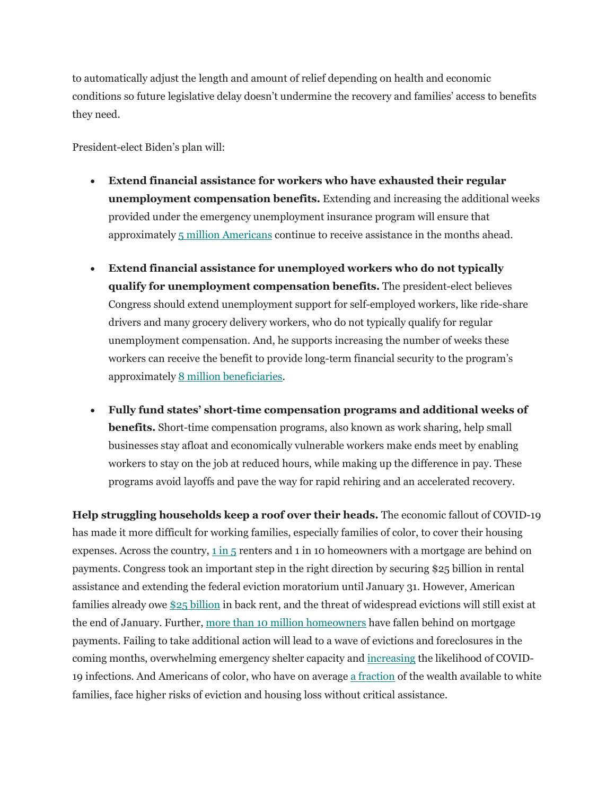to automatically adjust the length and amount of relief depending on health and economic conditions so future legislative delay doesn't undermine the recovery and families' access to benefits they need.

President-elect Biden's plan will:

- **Extend financial assistance for workers who have exhausted their regular unemployment compensation benefits.** Extending and increasing the additional weeks provided under the emergency unemployment insurance program will ensure that approximately [5 million Americans](https://nam11.safelinks.protection.outlook.com/?url=https%3A%2F%2Fbuildbackbetter.us2.list-manage.com%2Ftrack%2Fclick%3Fu%3D8c306f1270b84f82f1a14dd29%26id%3D290de0808d%26e%3Df4f9b947e7&data=04%7C01%7C%7C9a5643c7fe7b41db9c8908d8b8d8e8c8%7C86c0e625486c4605be4d2eb57c638f37%7C1%7C0%7C637462589053408618%7CUnknown%7CTWFpbGZsb3d8eyJWIjoiMC4wLjAwMDAiLCJQIjoiV2luMzIiLCJBTiI6Ik1haWwiLCJXVCI6Mn0%3D%7C1000&sdata=1r4QBC0ojt9AytRociMbQpc%2FRC26vyNYeeQ7QtSfZT4%3D&reserved=0) continue to receive assistance in the months ahead.
- **Extend financial assistance for unemployed workers who do not typically qualify for unemployment compensation benefits.** The president-elect believes Congress should extend unemployment support for self-employed workers, like ride-share drivers and many grocery delivery workers, who do not typically qualify for regular unemployment compensation. And, he supports increasing the number of weeks these workers can receive the benefit to provide long-term financial security to the program's approximately [8 million beneficiaries.](https://nam11.safelinks.protection.outlook.com/?url=https%3A%2F%2Fbuildbackbetter.us2.list-manage.com%2Ftrack%2Fclick%3Fu%3D8c306f1270b84f82f1a14dd29%26id%3Daaf55ac646%26e%3Df4f9b947e7&data=04%7C01%7C%7C9a5643c7fe7b41db9c8908d8b8d8e8c8%7C86c0e625486c4605be4d2eb57c638f37%7C1%7C0%7C637462589053408618%7CUnknown%7CTWFpbGZsb3d8eyJWIjoiMC4wLjAwMDAiLCJQIjoiV2luMzIiLCJBTiI6Ik1haWwiLCJXVCI6Mn0%3D%7C1000&sdata=vlbAN537mm6gWM7obrIFX%2BO7Df1miVWClHShi5Dsd94%3D&reserved=0)
- **Fully fund states' short-time compensation programs and additional weeks of benefits.** Short-time compensation programs, also known as work sharing, help small businesses stay afloat and economically vulnerable workers make ends meet by enabling workers to stay on the job at reduced hours, while making up the difference in pay. These programs avoid layoffs and pave the way for rapid rehiring and an accelerated recovery.

**Help struggling households keep a roof over their heads.** The economic fallout of COVID-19 has made it more difficult for working families, especially families of color, to cover their housing expenses. Across the country,  $1 \text{ in } 5$  renters and 1 in 10 homeowners with a mortgage are behind on payments. Congress took an important step in the right direction by securing \$25 billion in rental assistance and extending the federal eviction moratorium until January 31. However, American families already owe [\\$25 billion](https://nam11.safelinks.protection.outlook.com/?url=https%3A%2F%2Fbuildbackbetter.us2.list-manage.com%2Ftrack%2Fclick%3Fu%3D8c306f1270b84f82f1a14dd29%26id%3D8ab2789a84%26e%3Df4f9b947e7&data=04%7C01%7C%7C9a5643c7fe7b41db9c8908d8b8d8e8c8%7C86c0e625486c4605be4d2eb57c638f37%7C1%7C0%7C637462589053418612%7CUnknown%7CTWFpbGZsb3d8eyJWIjoiMC4wLjAwMDAiLCJQIjoiV2luMzIiLCJBTiI6Ik1haWwiLCJXVCI6Mn0%3D%7C1000&sdata=%2FxOANmoIVdZqrw8Fk2zdcmQPnG8axGJMhdzLUtb8dV8%3D&reserved=0) in back rent, and the threat of widespread evictions will still exist at the end of January. Further, [more than 10 million homeowners](https://nam11.safelinks.protection.outlook.com/?url=https%3A%2F%2Fbuildbackbetter.us2.list-manage.com%2Ftrack%2Fclick%3Fu%3D8c306f1270b84f82f1a14dd29%26id%3Dee5015cef0%26e%3Df4f9b947e7&data=04%7C01%7C%7C9a5643c7fe7b41db9c8908d8b8d8e8c8%7C86c0e625486c4605be4d2eb57c638f37%7C1%7C0%7C637462589053428606%7CUnknown%7CTWFpbGZsb3d8eyJWIjoiMC4wLjAwMDAiLCJQIjoiV2luMzIiLCJBTiI6Ik1haWwiLCJXVCI6Mn0%3D%7C1000&sdata=mP7LZguVWGm5PWbwHNSO0zB6CZ5M9baA9Ezp7jgddUc%3D&reserved=0) have fallen behind on mortgage payments. Failing to take additional action will lead to a wave of evictions and foreclosures in the coming months, overwhelming emergency shelter capacity and [increasing](https://nam11.safelinks.protection.outlook.com/?url=https%3A%2F%2Fbuildbackbetter.us2.list-manage.com%2Ftrack%2Fclick%3Fu%3D8c306f1270b84f82f1a14dd29%26id%3Defdc68ea4a%26e%3Df4f9b947e7&data=04%7C01%7C%7C9a5643c7fe7b41db9c8908d8b8d8e8c8%7C86c0e625486c4605be4d2eb57c638f37%7C1%7C0%7C637462589053428606%7CUnknown%7CTWFpbGZsb3d8eyJWIjoiMC4wLjAwMDAiLCJQIjoiV2luMzIiLCJBTiI6Ik1haWwiLCJXVCI6Mn0%3D%7C1000&sdata=Mx%2FyAwAacrQwZvIwehW1t%2BRsctpb7Gdk3OH9OOC%2Fdnw%3D&reserved=0) the likelihood of COVID-19 infections. And Americans of color, who have on average [a fraction](https://nam11.safelinks.protection.outlook.com/?url=https%3A%2F%2Fbuildbackbetter.us2.list-manage.com%2Ftrack%2Fclick%3Fu%3D8c306f1270b84f82f1a14dd29%26id%3D64a4796b5a%26e%3Df4f9b947e7&data=04%7C01%7C%7C9a5643c7fe7b41db9c8908d8b8d8e8c8%7C86c0e625486c4605be4d2eb57c638f37%7C1%7C0%7C637462589053438601%7CUnknown%7CTWFpbGZsb3d8eyJWIjoiMC4wLjAwMDAiLCJQIjoiV2luMzIiLCJBTiI6Ik1haWwiLCJXVCI6Mn0%3D%7C1000&sdata=6QwPjA7MZs0au88HGGLNmsPDuLlNwca6qFmgMoGGYOQ%3D&reserved=0) of the wealth available to white families, face higher risks of eviction and housing loss without critical assistance.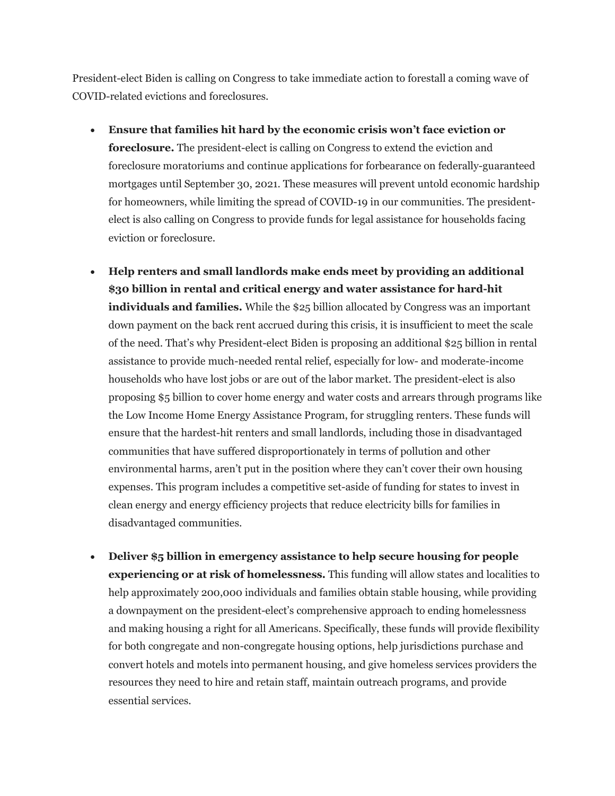President-elect Biden is calling on Congress to take immediate action to forestall a coming wave of COVID-related evictions and foreclosures.

- **Ensure that families hit hard by the economic crisis won't face eviction or foreclosure.** The president-elect is calling on Congress to extend the eviction and foreclosure moratoriums and continue applications for forbearance on federally-guaranteed mortgages until September 30, 2021. These measures will prevent untold economic hardship for homeowners, while limiting the spread of COVID-19 in our communities. The presidentelect is also calling on Congress to provide funds for legal assistance for households facing eviction or foreclosure.
- **Help renters and small landlords make ends meet by providing an additional \$30 billion in rental and critical energy and water assistance for hard-hit individuals and families.** While the \$25 billion allocated by Congress was an important down payment on the back rent accrued during this crisis, it is insufficient to meet the scale of the need. That's why President-elect Biden is proposing an additional \$25 billion in rental assistance to provide much-needed rental relief, especially for low- and moderate-income households who have lost jobs or are out of the labor market. The president-elect is also proposing \$5 billion to cover home energy and water costs and arrears through programs like the Low Income Home Energy Assistance Program, for struggling renters. These funds will ensure that the hardest-hit renters and small landlords, including those in disadvantaged communities that have suffered disproportionately in terms of pollution and other environmental harms, aren't put in the position where they can't cover their own housing expenses. This program includes a competitive set-aside of funding for states to invest in clean energy and energy efficiency projects that reduce electricity bills for families in disadvantaged communities.
- **Deliver \$5 billion in emergency assistance to help secure housing for people experiencing or at risk of homelessness.** This funding will allow states and localities to help approximately 200,000 individuals and families obtain stable housing, while providing a downpayment on the president-elect's comprehensive approach to ending homelessness and making housing a right for all Americans. Specifically, these funds will provide flexibility for both congregate and non-congregate housing options, help jurisdictions purchase and convert hotels and motels into permanent housing, and give homeless services providers the resources they need to hire and retain staff, maintain outreach programs, and provide essential services.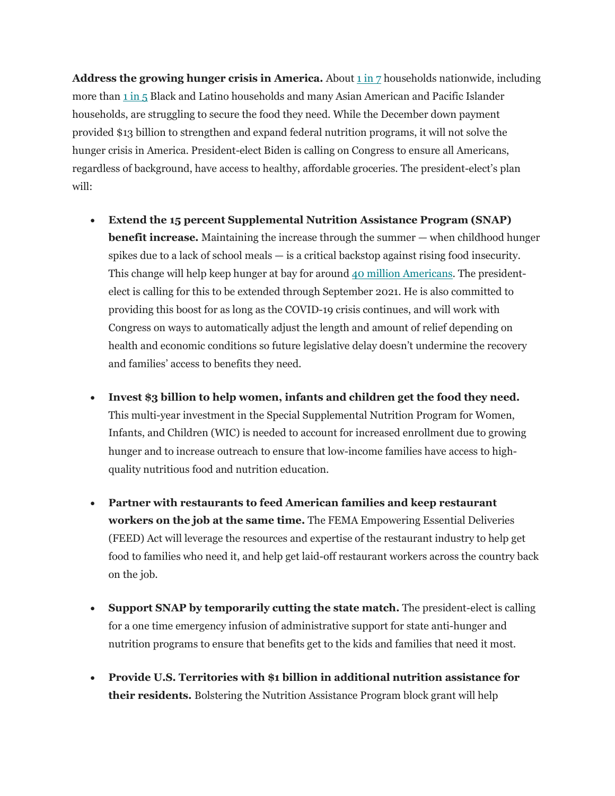**Address the growing hunger crisis in America.** About [1 in 7](https://nam11.safelinks.protection.outlook.com/?url=https%3A%2F%2Fbuildbackbetter.us2.list-manage.com%2Ftrack%2Fclick%3Fu%3D8c306f1270b84f82f1a14dd29%26id%3Dcbd8a49d85%26e%3Df4f9b947e7&data=04%7C01%7C%7C9a5643c7fe7b41db9c8908d8b8d8e8c8%7C86c0e625486c4605be4d2eb57c638f37%7C1%7C0%7C637462589053438601%7CUnknown%7CTWFpbGZsb3d8eyJWIjoiMC4wLjAwMDAiLCJQIjoiV2luMzIiLCJBTiI6Ik1haWwiLCJXVCI6Mn0%3D%7C1000&sdata=qrPLkoOt4Ubtxx5LFw1h8uPWpU4XhSKkJk6jn2iOcEs%3D&reserved=0) households nationwide, including more than  $1 \text{ in } 5$  Black and Latino households and many Asian American and Pacific Islander households, are struggling to secure the food they need. While the December down payment provided \$13 billion to strengthen and expand federal nutrition programs, it will not solve the hunger crisis in America. President-elect Biden is calling on Congress to ensure all Americans, regardless of background, have access to healthy, affordable groceries. The president-elect's plan will:

- **Extend the 15 percent Supplemental Nutrition Assistance Program (SNAP) benefit increase.** Maintaining the increase through the summer — when childhood hunger spikes due to a lack of school meals — is a critical backstop against rising food insecurity. This change will help keep hunger at bay for around [40 million Americans.](https://nam11.safelinks.protection.outlook.com/?url=https%3A%2F%2Fbuildbackbetter.us2.list-manage.com%2Ftrack%2Fclick%3Fu%3D8c306f1270b84f82f1a14dd29%26id%3D06d22486c4%26e%3Df4f9b947e7&data=04%7C01%7C%7C9a5643c7fe7b41db9c8908d8b8d8e8c8%7C86c0e625486c4605be4d2eb57c638f37%7C1%7C0%7C637462589053448595%7CUnknown%7CTWFpbGZsb3d8eyJWIjoiMC4wLjAwMDAiLCJQIjoiV2luMzIiLCJBTiI6Ik1haWwiLCJXVCI6Mn0%3D%7C1000&sdata=n0kvfZuFrdyVnjBSkYDypqHpNeBWE0jMabbq2P9tbA4%3D&reserved=0) The presidentelect is calling for this to be extended through September 2021. He is also committed to providing this boost for as long as the COVID-19 crisis continues, and will work with Congress on ways to automatically adjust the length and amount of relief depending on health and economic conditions so future legislative delay doesn't undermine the recovery and families' access to benefits they need.
- **Invest \$3 billion to help women, infants and children get the food they need.**  This multi-year investment in the Special Supplemental Nutrition Program for Women, Infants, and Children (WIC) is needed to account for increased enrollment due to growing hunger and to increase outreach to ensure that low-income families have access to highquality nutritious food and nutrition education.
- **Partner with restaurants to feed American families and keep restaurant workers on the job at the same time.** The FEMA Empowering Essential Deliveries (FEED) Act will leverage the resources and expertise of the restaurant industry to help get food to families who need it, and help get laid-off restaurant workers across the country back on the job.
- **Support SNAP by temporarily cutting the state match.** The president-elect is calling for a one time emergency infusion of administrative support for state anti-hunger and nutrition programs to ensure that benefits get to the kids and families that need it most.
- **Provide U.S. Territories with \$1 billion in additional nutrition assistance for their residents.** Bolstering the Nutrition Assistance Program block grant will help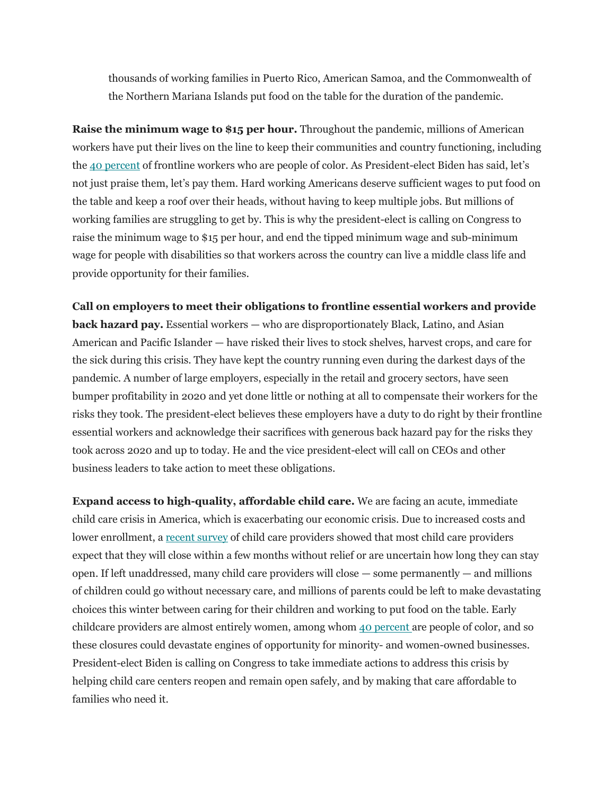thousands of working families in Puerto Rico, American Samoa, and the Commonwealth of the Northern Mariana Islands put food on the table for the duration of the pandemic.

**Raise the minimum wage to \$15 per hour.** Throughout the pandemic, millions of American workers have put their lives on the line to keep their communities and country functioning, including the [40 percent](https://nam11.safelinks.protection.outlook.com/?url=https%3A%2F%2Fbuildbackbetter.us2.list-manage.com%2Ftrack%2Fclick%3Fu%3D8c306f1270b84f82f1a14dd29%26id%3D432453eed9%26e%3Df4f9b947e7&data=04%7C01%7C%7C9a5643c7fe7b41db9c8908d8b8d8e8c8%7C86c0e625486c4605be4d2eb57c638f37%7C1%7C0%7C637462589053448595%7CUnknown%7CTWFpbGZsb3d8eyJWIjoiMC4wLjAwMDAiLCJQIjoiV2luMzIiLCJBTiI6Ik1haWwiLCJXVCI6Mn0%3D%7C1000&sdata=1B1jDCBUxMhIUyzZ0qcRD%2F0wbwfEQjwH0NEYprsD%2Fs0%3D&reserved=0) of frontline workers who are people of color. As President-elect Biden has said, let's not just praise them, let's pay them. Hard working Americans deserve sufficient wages to put food on the table and keep a roof over their heads, without having to keep multiple jobs. But millions of working families are struggling to get by. This is why the president-elect is calling on Congress to raise the minimum wage to \$15 per hour, and end the tipped minimum wage and sub-minimum wage for people with disabilities so that workers across the country can live a middle class life and provide opportunity for their families.

**Call on employers to meet their obligations to frontline essential workers and provide back hazard pay.** Essential workers — who are disproportionately Black, Latino, and Asian American and Pacific Islander — have risked their lives to stock shelves, harvest crops, and care for the sick during this crisis. They have kept the country running even during the darkest days of the pandemic. A number of large employers, especially in the retail and grocery sectors, have seen bumper profitability in 2020 and yet done little or nothing at all to compensate their workers for the risks they took. The president-elect believes these employers have a duty to do right by their frontline essential workers and acknowledge their sacrifices with generous back hazard pay for the risks they took across 2020 and up to today. He and the vice president-elect will call on CEOs and other business leaders to take action to meet these obligations.

**Expand access to high-quality, affordable child care.** We are facing an acute, immediate child care crisis in America, which is exacerbating our economic crisis. Due to increased costs and lower enrollment, a [recent survey](https://nam11.safelinks.protection.outlook.com/?url=https%3A%2F%2Fbuildbackbetter.us2.list-manage.com%2Ftrack%2Fclick%3Fu%3D8c306f1270b84f82f1a14dd29%26id%3Da5ee3b2fba%26e%3Df4f9b947e7&data=04%7C01%7C%7C9a5643c7fe7b41db9c8908d8b8d8e8c8%7C86c0e625486c4605be4d2eb57c638f37%7C1%7C0%7C637462589053458591%7CUnknown%7CTWFpbGZsb3d8eyJWIjoiMC4wLjAwMDAiLCJQIjoiV2luMzIiLCJBTiI6Ik1haWwiLCJXVCI6Mn0%3D%7C1000&sdata=9duRhuXYgWsoEZ1suVD9oYDSAvkkfqrkIxZ4eRu77rk%3D&reserved=0) of child care providers showed that most child care providers expect that they will close within a few months without relief or are uncertain how long they can stay open. If left unaddressed, many child care providers will close  $-$  some permanently  $-$  and millions of children could go without necessary care, and millions of parents could be left to make devastating choices this winter between caring for their children and working to put food on the table. Early childcare providers are almost entirely women, among whom [40 percent a](https://nam11.safelinks.protection.outlook.com/?url=https%3A%2F%2Fbuildbackbetter.us2.list-manage.com%2Ftrack%2Fclick%3Fu%3D8c306f1270b84f82f1a14dd29%26id%3Dab9f7464b2%26e%3Df4f9b947e7&data=04%7C01%7C%7C9a5643c7fe7b41db9c8908d8b8d8e8c8%7C86c0e625486c4605be4d2eb57c638f37%7C1%7C0%7C637462589053458591%7CUnknown%7CTWFpbGZsb3d8eyJWIjoiMC4wLjAwMDAiLCJQIjoiV2luMzIiLCJBTiI6Ik1haWwiLCJXVCI6Mn0%3D%7C1000&sdata=mHcFP4M8cDGtPW3HZh91S7aUMPl73USfEfalSzMIwv8%3D&reserved=0)re people of color, and so these closures could devastate engines of opportunity for minority- and women-owned businesses. President-elect Biden is calling on Congress to take immediate actions to address this crisis by helping child care centers reopen and remain open safely, and by making that care affordable to families who need it.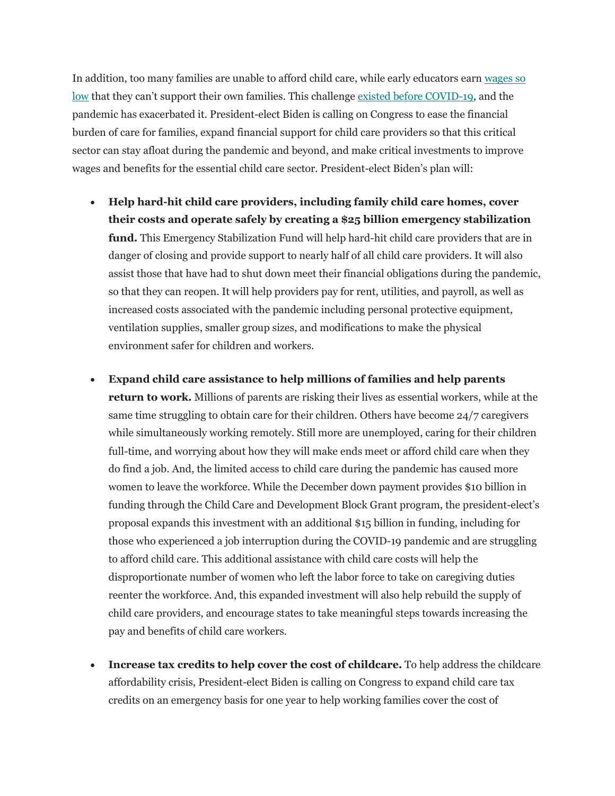In addition, too many families are unable to afford child care, while early educators earn [wages so](https://nam11.safelinks.protection.outlook.com/?url=https%3A%2F%2Fbuildbackbetter.us2.list-manage.com%2Ftrack%2Fclick%3Fu%3D8c306f1270b84f82f1a14dd29%26id%3Da47f076c89%26e%3Df4f9b947e7&data=04%7C01%7C%7C9a5643c7fe7b41db9c8908d8b8d8e8c8%7C86c0e625486c4605be4d2eb57c638f37%7C1%7C0%7C637462589053468583%7CUnknown%7CTWFpbGZsb3d8eyJWIjoiMC4wLjAwMDAiLCJQIjoiV2luMzIiLCJBTiI6Ik1haWwiLCJXVCI6Mn0%3D%7C1000&sdata=z9FQG3UITeL5dbSHB0201o4YYT40G374nEmsaLSkT7s%3D&reserved=0)  [low](https://nam11.safelinks.protection.outlook.com/?url=https%3A%2F%2Fbuildbackbetter.us2.list-manage.com%2Ftrack%2Fclick%3Fu%3D8c306f1270b84f82f1a14dd29%26id%3Da47f076c89%26e%3Df4f9b947e7&data=04%7C01%7C%7C9a5643c7fe7b41db9c8908d8b8d8e8c8%7C86c0e625486c4605be4d2eb57c638f37%7C1%7C0%7C637462589053468583%7CUnknown%7CTWFpbGZsb3d8eyJWIjoiMC4wLjAwMDAiLCJQIjoiV2luMzIiLCJBTiI6Ik1haWwiLCJXVCI6Mn0%3D%7C1000&sdata=z9FQG3UITeL5dbSHB0201o4YYT40G374nEmsaLSkT7s%3D&reserved=0) that they can't support their own families. This challenge [existed before COVID-19,](https://nam11.safelinks.protection.outlook.com/?url=https%3A%2F%2Fbuildbackbetter.us2.list-manage.com%2Ftrack%2Fclick%3Fu%3D8c306f1270b84f82f1a14dd29%26id%3D16561ac797%26e%3Df4f9b947e7&data=04%7C01%7C%7C9a5643c7fe7b41db9c8908d8b8d8e8c8%7C86c0e625486c4605be4d2eb57c638f37%7C1%7C0%7C637462589053468583%7CUnknown%7CTWFpbGZsb3d8eyJWIjoiMC4wLjAwMDAiLCJQIjoiV2luMzIiLCJBTiI6Ik1haWwiLCJXVCI6Mn0%3D%7C1000&sdata=PRBzZUlRKkTW6fHiyEOIFLZWR6G%2FUOm73XLJZKyA09E%3D&reserved=0) and the pandemic has exacerbated it. President-elect Biden is calling on Congress to ease the financial burden of care for families, expand financial support for child care providers so that this critical sector can stay afloat during the pandemic and beyond, and make critical investments to improve wages and benefits for the essential child care sector. President-elect Biden's plan will:

- **Help hard-hit child care providers, including family child care homes, cover their costs and operate safely by creating a \$25 billion emergency stabilization fund.** This Emergency Stabilization Fund will help hard-hit child care providers that are in danger of closing and provide support to nearly half of all child care providers. It will also assist those that have had to shut down meet their financial obligations during the pandemic, so that they can reopen. It will help providers pay for rent, utilities, and payroll, as well as increased costs associated with the pandemic including personal protective equipment, ventilation supplies, smaller group sizes, and modifications to make the physical environment safer for children and workers.
- **Expand child care assistance to help millions of families and help parents return to work.** Millions of parents are risking their lives as essential workers, while at the same time struggling to obtain care for their children. Others have become 24/7 caregivers while simultaneously working remotely. Still more are unemployed, caring for their children full-time, and worrying about how they will make ends meet or afford child care when they do find a job. And, the limited access to child care during the pandemic has caused more women to leave the workforce. While the December down payment provides \$10 billion in funding through the Child Care and Development Block Grant program, the president-elect's proposal expands this investment with an additional \$15 billion in funding, including for those who experienced a job interruption during the COVID-19 pandemic and are struggling to afford child care. This additional assistance with child care costs will help the disproportionate number of women who left the labor force to take on caregiving duties reenter the workforce. And, this expanded investment will also help rebuild the supply of child care providers, and encourage states to take meaningful steps towards increasing the pay and benefits of child care workers.
- **Increase tax credits to help cover the cost of childcare.** To help address the childcare affordability crisis, President-elect Biden is calling on Congress to expand child care tax credits on an emergency basis for one year to help working families cover the cost of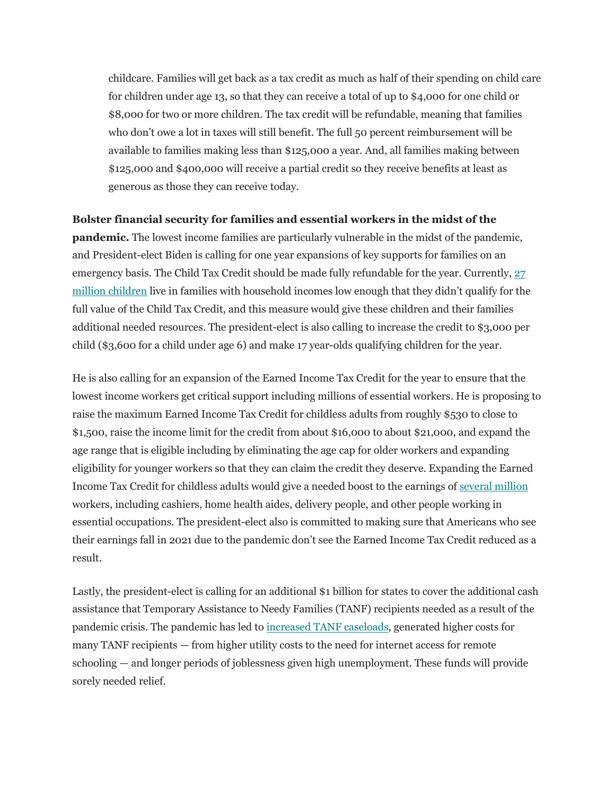childcare. Families will get back as a tax credit as much as half of their spending on child care for children under age 13, so that they can receive a total of up to \$4,000 for one child or \$8,000 for two or more children. The tax credit will be refundable, meaning that families who don't owe a lot in taxes will still benefit. The full 50 percent reimbursement will be available to families making less than \$125,000 a year. And, all families making between \$125,000 and \$400,000 will receive a partial credit so they receive benefits at least as generous as those they can receive today.

#### **Bolster financial security for families and essential workers in the midst of the**

**pandemic.** The lowest income families are particularly vulnerable in the midst of the pandemic, and President-elect Biden is calling for one year expansions of key supports for families on an emergency basis. The Child Tax Credit should be made fully refundable for the year. Currently, [27](https://nam11.safelinks.protection.outlook.com/?url=https%3A%2F%2Fbuildbackbetter.us2.list-manage.com%2Ftrack%2Fclick%3Fu%3D8c306f1270b84f82f1a14dd29%26id%3D968ef79906%26e%3Df4f9b947e7&data=04%7C01%7C%7C9a5643c7fe7b41db9c8908d8b8d8e8c8%7C86c0e625486c4605be4d2eb57c638f37%7C1%7C0%7C637462589053478577%7CUnknown%7CTWFpbGZsb3d8eyJWIjoiMC4wLjAwMDAiLCJQIjoiV2luMzIiLCJBTiI6Ik1haWwiLCJXVCI6Mn0%3D%7C1000&sdata=UqEhv3ULM3XAV3EgJ3X%2Bn3n59Z1hRnY7gWBl5THFJVw%3D&reserved=0)  [million children](https://nam11.safelinks.protection.outlook.com/?url=https%3A%2F%2Fbuildbackbetter.us2.list-manage.com%2Ftrack%2Fclick%3Fu%3D8c306f1270b84f82f1a14dd29%26id%3D968ef79906%26e%3Df4f9b947e7&data=04%7C01%7C%7C9a5643c7fe7b41db9c8908d8b8d8e8c8%7C86c0e625486c4605be4d2eb57c638f37%7C1%7C0%7C637462589053478577%7CUnknown%7CTWFpbGZsb3d8eyJWIjoiMC4wLjAwMDAiLCJQIjoiV2luMzIiLCJBTiI6Ik1haWwiLCJXVCI6Mn0%3D%7C1000&sdata=UqEhv3ULM3XAV3EgJ3X%2Bn3n59Z1hRnY7gWBl5THFJVw%3D&reserved=0) live in families with household incomes low enough that they didn't qualify for the full value of the Child Tax Credit, and this measure would give these children and their families additional needed resources. The president-elect is also calling to increase the credit to \$3,000 per child (\$3,600 for a child under age 6) and make 17 year-olds qualifying children for the year.

He is also calling for an expansion of the Earned Income Tax Credit for the year to ensure that the lowest income workers get critical support including millions of essential workers. He is proposing to raise the maximum Earned Income Tax Credit for childless adults from roughly \$530 to close to \$1,500, raise the income limit for the credit from about \$16,000 to about \$21,000, and expand the age range that is eligible including by eliminating the age cap for older workers and expanding eligibility for younger workers so that they can claim the credit they deserve. Expanding the Earned Income Tax Credit for childless adults would give a needed boost to the earnings of [several million](https://nam11.safelinks.protection.outlook.com/?url=https%3A%2F%2Fbuildbackbetter.us2.list-manage.com%2Ftrack%2Fclick%3Fu%3D8c306f1270b84f82f1a14dd29%26id%3D925bbcc167%26e%3Df4f9b947e7&data=04%7C01%7C%7C9a5643c7fe7b41db9c8908d8b8d8e8c8%7C86c0e625486c4605be4d2eb57c638f37%7C1%7C0%7C637462589053478577%7CUnknown%7CTWFpbGZsb3d8eyJWIjoiMC4wLjAwMDAiLCJQIjoiV2luMzIiLCJBTiI6Ik1haWwiLCJXVCI6Mn0%3D%7C1000&sdata=83mC6TxqCYAyxzwSP0lwQyhcH6j%2FNHJS0yPIERiISE4%3D&reserved=0) workers, including cashiers, home health aides, delivery people, and other people working in essential occupations. The president-elect also is committed to making sure that Americans who see their earnings fall in 2021 due to the pandemic don't see the Earned Income Tax Credit reduced as a result.

Lastly, the president-elect is calling for an additional \$1 billion for states to cover the additional cash assistance that Temporary Assistance to Needy Families (TANF) recipients needed as a result of the pandemic crisis. The pandemic has led to [increased TANF caseloads,](https://nam11.safelinks.protection.outlook.com/?url=https%3A%2F%2Fbuildbackbetter.us2.list-manage.com%2Ftrack%2Fclick%3Fu%3D8c306f1270b84f82f1a14dd29%26id%3Dd7f37a2c8f%26e%3Df4f9b947e7&data=04%7C01%7C%7C9a5643c7fe7b41db9c8908d8b8d8e8c8%7C86c0e625486c4605be4d2eb57c638f37%7C1%7C0%7C637462589053488571%7CUnknown%7CTWFpbGZsb3d8eyJWIjoiMC4wLjAwMDAiLCJQIjoiV2luMzIiLCJBTiI6Ik1haWwiLCJXVCI6Mn0%3D%7C1000&sdata=xnGHFp9unMrBR9xnx%2FBO9qwGPV998KrQfLmWiPhTypk%3D&reserved=0) generated higher costs for many TANF recipients — from higher utility costs to the need for internet access for remote schooling — and longer periods of joblessness given high unemployment. These funds will provide sorely needed relief.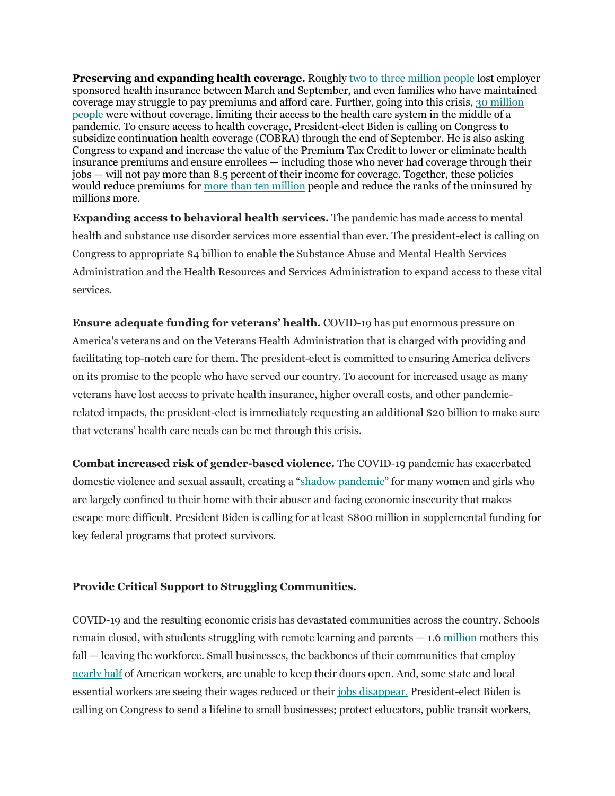**Preserving and expanding health coverage.** Roughly [two to three million people](https://nam11.safelinks.protection.outlook.com/?url=https%3A%2F%2Fbuildbackbetter.us2.list-manage.com%2Ftrack%2Fclick%3Fu%3D8c306f1270b84f82f1a14dd29%26id%3De504f389af%26e%3Df4f9b947e7&data=04%7C01%7C%7C9a5643c7fe7b41db9c8908d8b8d8e8c8%7C86c0e625486c4605be4d2eb57c638f37%7C1%7C0%7C637462589053488571%7CUnknown%7CTWFpbGZsb3d8eyJWIjoiMC4wLjAwMDAiLCJQIjoiV2luMzIiLCJBTiI6Ik1haWwiLCJXVCI6Mn0%3D%7C1000&sdata=FIlVq4aUYsqlNLWbCXAmk1cpp6eDyERmRKXcdf5mrBo%3D&reserved=0) lost employer sponsored health insurance between March and September, and even families who have maintained coverage may struggle to pay premiums and afford care. Further, going into this crisis, [30 million](https://nam11.safelinks.protection.outlook.com/?url=https%3A%2F%2Fbuildbackbetter.us2.list-manage.com%2Ftrack%2Fclick%3Fu%3D8c306f1270b84f82f1a14dd29%26id%3D7e9d853e76%26e%3Df4f9b947e7&data=04%7C01%7C%7C9a5643c7fe7b41db9c8908d8b8d8e8c8%7C86c0e625486c4605be4d2eb57c638f37%7C1%7C0%7C637462589053498566%7CUnknown%7CTWFpbGZsb3d8eyJWIjoiMC4wLjAwMDAiLCJQIjoiV2luMzIiLCJBTiI6Ik1haWwiLCJXVCI6Mn0%3D%7C1000&sdata=Qb%2Fpg5tK81B%2BR4zbVzsJGdtnn3Qucw%2FAdMgBzvLomJM%3D&reserved=0)  [people](https://nam11.safelinks.protection.outlook.com/?url=https%3A%2F%2Fbuildbackbetter.us2.list-manage.com%2Ftrack%2Fclick%3Fu%3D8c306f1270b84f82f1a14dd29%26id%3D7e9d853e76%26e%3Df4f9b947e7&data=04%7C01%7C%7C9a5643c7fe7b41db9c8908d8b8d8e8c8%7C86c0e625486c4605be4d2eb57c638f37%7C1%7C0%7C637462589053498566%7CUnknown%7CTWFpbGZsb3d8eyJWIjoiMC4wLjAwMDAiLCJQIjoiV2luMzIiLCJBTiI6Ik1haWwiLCJXVCI6Mn0%3D%7C1000&sdata=Qb%2Fpg5tK81B%2BR4zbVzsJGdtnn3Qucw%2FAdMgBzvLomJM%3D&reserved=0) were without coverage, limiting their access to the health care system in the middle of a pandemic. To ensure access to health coverage, President-elect Biden is calling on Congress to subsidize continuation health coverage (COBRA) through the end of September. He is also asking Congress to expand and increase the value of the Premium Tax Credit to lower or eliminate health insurance premiums and ensure enrollees — including those who never had coverage through their jobs — will not pay more than 8.5 percent of their income for coverage. Together, these policies would reduce premiums for [more than ten million](https://nam11.safelinks.protection.outlook.com/?url=https%3A%2F%2Fbuildbackbetter.us2.list-manage.com%2Ftrack%2Fclick%3Fu%3D8c306f1270b84f82f1a14dd29%26id%3Da19d7c636c%26e%3Df4f9b947e7&data=04%7C01%7C%7C9a5643c7fe7b41db9c8908d8b8d8e8c8%7C86c0e625486c4605be4d2eb57c638f37%7C1%7C0%7C637462589053498566%7CUnknown%7CTWFpbGZsb3d8eyJWIjoiMC4wLjAwMDAiLCJQIjoiV2luMzIiLCJBTiI6Ik1haWwiLCJXVCI6Mn0%3D%7C1000&sdata=U6zbmgLIlDKesAdZQaanp%2BEa6iyAS2eNJTuabszQ5jk%3D&reserved=0) people and reduce the ranks of the uninsured by millions more.

**Expanding access to behavioral health services.** The pandemic has made access to mental health and substance use disorder services more essential than ever. The president-elect is calling on Congress to appropriate \$4 billion to enable the Substance Abuse and Mental Health Services Administration and the Health Resources and Services Administration to expand access to these vital services.

**Ensure adequate funding for veterans' health.** COVID-19 has put enormous pressure on America's veterans and on the Veterans Health Administration that is charged with providing and facilitating top-notch care for them. The president-elect is committed to ensuring America delivers on its promise to the people who have served our country. To account for increased usage as many veterans have lost access to private health insurance, higher overall costs, and other pandemicrelated impacts, the president-elect is immediately requesting an additional \$20 billion to make sure that veterans' health care needs can be met through this crisis.

**Combat increased risk of gender-based violence.** The COVID-19 pandemic has exacerbated domestic violence and sexual assault, creating a ["shadow pandemic"](https://nam11.safelinks.protection.outlook.com/?url=https%3A%2F%2Fbuildbackbetter.us2.list-manage.com%2Ftrack%2Fclick%3Fu%3D8c306f1270b84f82f1a14dd29%26id%3D969be2a87c%26e%3Df4f9b947e7&data=04%7C01%7C%7C9a5643c7fe7b41db9c8908d8b8d8e8c8%7C86c0e625486c4605be4d2eb57c638f37%7C1%7C0%7C637462589053508562%7CUnknown%7CTWFpbGZsb3d8eyJWIjoiMC4wLjAwMDAiLCJQIjoiV2luMzIiLCJBTiI6Ik1haWwiLCJXVCI6Mn0%3D%7C1000&sdata=7GVyvWWn3tsGcBvbUvu6fYY2o9VT%2Fi%2BYzYZ6odaU%2BzQ%3D&reserved=0) for many women and girls who are largely confined to their home with their abuser and facing economic insecurity that makes escape more difficult. President Biden is calling for at least \$800 million in supplemental funding for key federal programs that protect survivors.

## **Provide Critical Support to Struggling Communities.**

COVID-19 and the resulting economic crisis has devastated communities across the country. Schools remain closed, with students struggling with remote learning and parents — 1.6 [million](https://nam11.safelinks.protection.outlook.com/?url=https%3A%2F%2Fbuildbackbetter.us2.list-manage.com%2Ftrack%2Fclick%3Fu%3D8c306f1270b84f82f1a14dd29%26id%3D0042495140%26e%3Df4f9b947e7&data=04%7C01%7C%7C9a5643c7fe7b41db9c8908d8b8d8e8c8%7C86c0e625486c4605be4d2eb57c638f37%7C1%7C0%7C637462589053508562%7CUnknown%7CTWFpbGZsb3d8eyJWIjoiMC4wLjAwMDAiLCJQIjoiV2luMzIiLCJBTiI6Ik1haWwiLCJXVCI6Mn0%3D%7C1000&sdata=JdAP%2BgStcTSesZ9Lf1SL1dmWti4pe66NR4KE6TkeL0M%3D&reserved=0) mothers this fall — leaving the workforce. Small businesses, the backbones of their communities that employ [nearly half](https://nam11.safelinks.protection.outlook.com/?url=https%3A%2F%2Fbuildbackbetter.us2.list-manage.com%2Ftrack%2Fclick%3Fu%3D8c306f1270b84f82f1a14dd29%26id%3Ddefb30030c%26e%3Df4f9b947e7&data=04%7C01%7C%7C9a5643c7fe7b41db9c8908d8b8d8e8c8%7C86c0e625486c4605be4d2eb57c638f37%7C1%7C0%7C637462589053518556%7CUnknown%7CTWFpbGZsb3d8eyJWIjoiMC4wLjAwMDAiLCJQIjoiV2luMzIiLCJBTiI6Ik1haWwiLCJXVCI6Mn0%3D%7C1000&sdata=f%2F3BmrjfPvPKkbWjCrB7i6%2Fh6l625Tfehf6PcIReKO0%3D&reserved=0) of American workers, are unable to keep their doors open. And, some state and local essential workers are seeing their wages reduced or their [jobs disappear.](https://nam11.safelinks.protection.outlook.com/?url=https%3A%2F%2Fbuildbackbetter.us2.list-manage.com%2Ftrack%2Fclick%3Fu%3D8c306f1270b84f82f1a14dd29%26id%3D2f9700b55e%26e%3Df4f9b947e7&data=04%7C01%7C%7C9a5643c7fe7b41db9c8908d8b8d8e8c8%7C86c0e625486c4605be4d2eb57c638f37%7C1%7C0%7C637462589053518556%7CUnknown%7CTWFpbGZsb3d8eyJWIjoiMC4wLjAwMDAiLCJQIjoiV2luMzIiLCJBTiI6Ik1haWwiLCJXVCI6Mn0%3D%7C1000&sdata=3Y1tl8dAqw7YTAUFp6fWowtYrk3QVGrHcgi6awX4dV8%3D&reserved=0) President-elect Biden is calling on Congress to send a lifeline to small businesses; protect educators, public transit workers,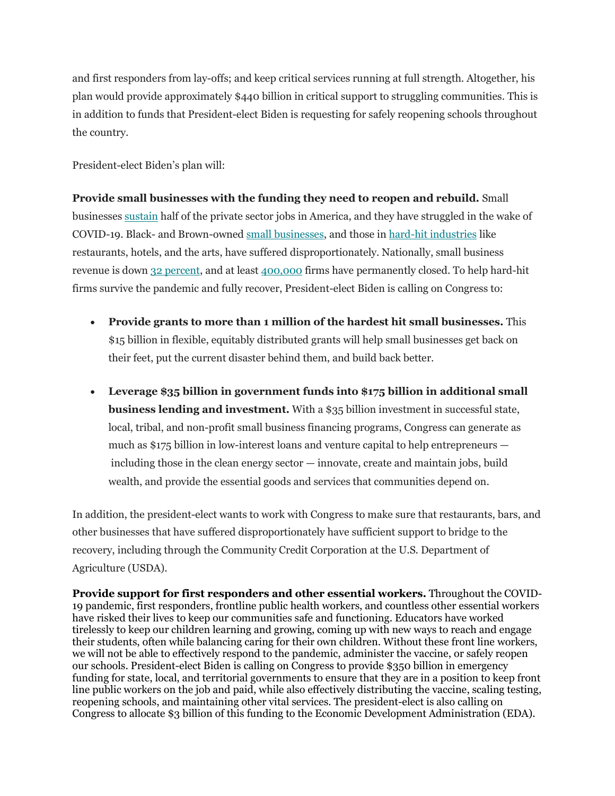and first responders from lay-offs; and keep critical services running at full strength. Altogether, his plan would provide approximately \$440 billion in critical support to struggling communities. This is in addition to funds that President-elect Biden is requesting for safely reopening schools throughout the country.

President-elect Biden's plan will:

**Provide small businesses with the funding they need to reopen and rebuild.** Small businesses [sustain](https://nam11.safelinks.protection.outlook.com/?url=https%3A%2F%2Fbuildbackbetter.us2.list-manage.com%2Ftrack%2Fclick%3Fu%3D8c306f1270b84f82f1a14dd29%26id%3D324f4c98fe%26e%3Df4f9b947e7&data=04%7C01%7C%7C9a5643c7fe7b41db9c8908d8b8d8e8c8%7C86c0e625486c4605be4d2eb57c638f37%7C1%7C0%7C637462589053518556%7CUnknown%7CTWFpbGZsb3d8eyJWIjoiMC4wLjAwMDAiLCJQIjoiV2luMzIiLCJBTiI6Ik1haWwiLCJXVCI6Mn0%3D%7C1000&sdata=FLGKUKoPe73ujaT9gcacesw7C1Il7ykPtc3FDg3vMSs%3D&reserved=0) half of the private sector jobs in America, and they have struggled in the wake of COVID-19. Black- and Brown-owned [small businesses,](https://nam11.safelinks.protection.outlook.com/?url=https%3A%2F%2Fbuildbackbetter.us2.list-manage.com%2Ftrack%2Fclick%3Fu%3D8c306f1270b84f82f1a14dd29%26id%3D721ed78c87%26e%3Df4f9b947e7&data=04%7C01%7C%7C9a5643c7fe7b41db9c8908d8b8d8e8c8%7C86c0e625486c4605be4d2eb57c638f37%7C1%7C0%7C637462589053528551%7CUnknown%7CTWFpbGZsb3d8eyJWIjoiMC4wLjAwMDAiLCJQIjoiV2luMzIiLCJBTiI6Ik1haWwiLCJXVCI6Mn0%3D%7C1000&sdata=yHC%2BVEaOXDzXXcuQsRs5kBspdjTQXx0Kct8L9H5qJKk%3D&reserved=0) and those in [hard-hit industries](https://nam11.safelinks.protection.outlook.com/?url=https%3A%2F%2Fbuildbackbetter.us2.list-manage.com%2Ftrack%2Fclick%3Fu%3D8c306f1270b84f82f1a14dd29%26id%3Df7acf0cdd8%26e%3Df4f9b947e7&data=04%7C01%7C%7C9a5643c7fe7b41db9c8908d8b8d8e8c8%7C86c0e625486c4605be4d2eb57c638f37%7C1%7C0%7C637462589053528551%7CUnknown%7CTWFpbGZsb3d8eyJWIjoiMC4wLjAwMDAiLCJQIjoiV2luMzIiLCJBTiI6Ik1haWwiLCJXVCI6Mn0%3D%7C1000&sdata=GODO1h7kpMgMf904e1NoVJ4RisbRUvDotEFPfbLINX4%3D&reserved=0) like restaurants, hotels, and the arts, have suffered disproportionately. Nationally, small business revenue is down [32 percent,](https://nam11.safelinks.protection.outlook.com/?url=https%3A%2F%2Fbuildbackbetter.us2.list-manage.com%2Ftrack%2Fclick%3Fu%3D8c306f1270b84f82f1a14dd29%26id%3D6825662eb3%26e%3Df4f9b947e7&data=04%7C01%7C%7C9a5643c7fe7b41db9c8908d8b8d8e8c8%7C86c0e625486c4605be4d2eb57c638f37%7C1%7C0%7C637462589053538543%7CUnknown%7CTWFpbGZsb3d8eyJWIjoiMC4wLjAwMDAiLCJQIjoiV2luMzIiLCJBTiI6Ik1haWwiLCJXVCI6Mn0%3D%7C1000&sdata=NuMTmfR4waibUR79nUwpb7yxz%2BG2A7JNBIYVjWAyJ4k%3D&reserved=0) and at least [400,000](https://nam11.safelinks.protection.outlook.com/?url=https%3A%2F%2Fbuildbackbetter.us2.list-manage.com%2Ftrack%2Fclick%3Fu%3D8c306f1270b84f82f1a14dd29%26id%3D0343c0be6c%26e%3Df4f9b947e7&data=04%7C01%7C%7C9a5643c7fe7b41db9c8908d8b8d8e8c8%7C86c0e625486c4605be4d2eb57c638f37%7C1%7C0%7C637462589053538543%7CUnknown%7CTWFpbGZsb3d8eyJWIjoiMC4wLjAwMDAiLCJQIjoiV2luMzIiLCJBTiI6Ik1haWwiLCJXVCI6Mn0%3D%7C1000&sdata=jZSM00BLcoGUVZGcsrnnEgDjo45dblTCFtQW7Ddx7%2BI%3D&reserved=0) firms have permanently closed. To help hard-hit firms survive the pandemic and fully recover, President-elect Biden is calling on Congress to:

- **Provide grants to more than 1 million of the hardest hit small businesses.** This \$15 billion in flexible, equitably distributed grants will help small businesses get back on their feet, put the current disaster behind them, and build back better.
- **Leverage \$35 billion in government funds into \$175 billion in additional small business lending and investment.** With a \$35 billion investment in successful state, local, tribal, and non-profit small business financing programs, Congress can generate as much as \$175 billion in low-interest loans and venture capital to help entrepreneurs including those in the clean energy sector — innovate, create and maintain jobs, build wealth, and provide the essential goods and services that communities depend on.

In addition, the president-elect wants to work with Congress to make sure that restaurants, bars, and other businesses that have suffered disproportionately have sufficient support to bridge to the recovery, including through the Community Credit Corporation at the U.S. Department of Agriculture (USDA).

**Provide support for first responders and other essential workers.** Throughout the COVID-19 pandemic, first responders, frontline public health workers, and countless other essential workers have risked their lives to keep our communities safe and functioning. Educators have worked tirelessly to keep our children learning and growing, coming up with new ways to reach and engage their students, often while balancing caring for their own children. Without these front line workers, we will not be able to effectively respond to the pandemic, administer the vaccine, or safely reopen our schools. President-elect Biden is calling on Congress to provide \$350 billion in emergency funding for state, local, and territorial governments to ensure that they are in a position to keep front line public workers on the job and paid, while also effectively distributing the vaccine, scaling testing, reopening schools, and maintaining other vital services. The president-elect is also calling on Congress to allocate \$3 billion of this funding to the Economic Development Administration (EDA).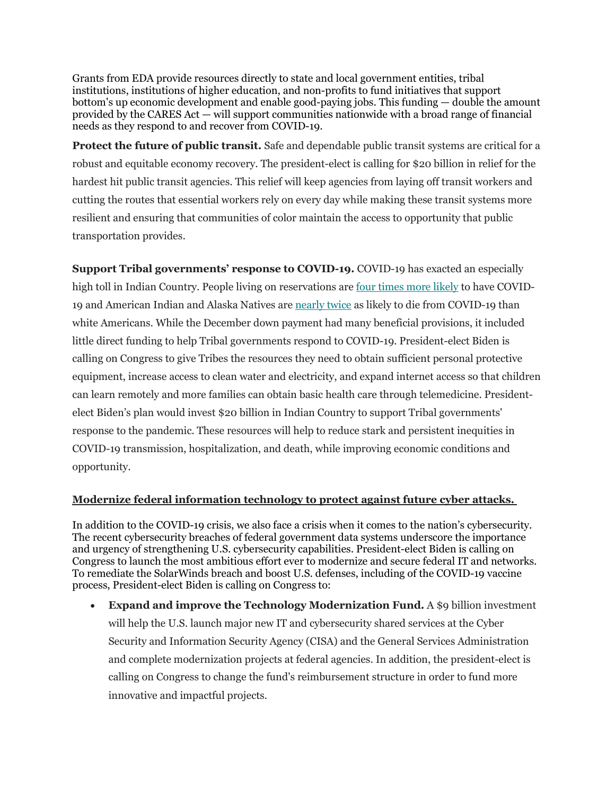Grants from EDA provide resources directly to state and local government entities, tribal institutions, institutions of higher education, and non-profits to fund initiatives that support bottom's up economic development and enable good-paying jobs. This funding — double the amount provided by the CARES Act — will support communities nationwide with a broad range of financial needs as they respond to and recover from COVID-19.

**Protect the future of public transit.** Safe and dependable public transit systems are critical for a robust and equitable economy recovery. The president-elect is calling for \$20 billion in relief for the hardest hit public transit agencies. This relief will keep agencies from laying off transit workers and cutting the routes that essential workers rely on every day while making these transit systems more resilient and ensuring that communities of color maintain the access to opportunity that public transportation provides.

**Support Tribal governments' response to COVID-19.** COVID-19 has exacted an especially high toll in Indian Country. People living on reservations are [four times more likely](https://nam11.safelinks.protection.outlook.com/?url=https%3A%2F%2Fbuildbackbetter.us2.list-manage.com%2Ftrack%2Fclick%3Fu%3D8c306f1270b84f82f1a14dd29%26id%3D1c76f54f75%26e%3Df4f9b947e7&data=04%7C01%7C%7C9a5643c7fe7b41db9c8908d8b8d8e8c8%7C86c0e625486c4605be4d2eb57c638f37%7C1%7C0%7C637462589053548537%7CUnknown%7CTWFpbGZsb3d8eyJWIjoiMC4wLjAwMDAiLCJQIjoiV2luMzIiLCJBTiI6Ik1haWwiLCJXVCI6Mn0%3D%7C1000&sdata=igZhRYNSS3htHBmwOkeAIfmiSnM4nWQDHnvZMafwdIE%3D&reserved=0) to have COVID-19 and American Indian and Alaska Natives are [nearly twice](https://nam11.safelinks.protection.outlook.com/?url=https%3A%2F%2Fbuildbackbetter.us2.list-manage.com%2Ftrack%2Fclick%3Fu%3D8c306f1270b84f82f1a14dd29%26id%3D05b6e0cb6b%26e%3Df4f9b947e7&data=04%7C01%7C%7C9a5643c7fe7b41db9c8908d8b8d8e8c8%7C86c0e625486c4605be4d2eb57c638f37%7C1%7C0%7C637462589053548537%7CUnknown%7CTWFpbGZsb3d8eyJWIjoiMC4wLjAwMDAiLCJQIjoiV2luMzIiLCJBTiI6Ik1haWwiLCJXVCI6Mn0%3D%7C1000&sdata=rbXN90hcLPuACtmNmT62mZDwUzhOflycv%2FfjiTRjxCs%3D&reserved=0) as likely to die from COVID-19 than white Americans. While the December down payment had many beneficial provisions, it included little direct funding to help Tribal governments respond to COVID-19. President-elect Biden is calling on Congress to give Tribes the resources they need to obtain sufficient personal protective equipment, increase access to clean water and electricity, and expand internet access so that children can learn remotely and more families can obtain basic health care through telemedicine. Presidentelect Biden's plan would invest \$20 billion in Indian Country to support Tribal governments' response to the pandemic. These resources will help to reduce stark and persistent inequities in COVID-19 transmission, hospitalization, and death, while improving economic conditions and opportunity.

## **Modernize federal information technology to protect against future cyber attacks.**

In addition to the COVID-19 crisis, we also face a crisis when it comes to the nation's cybersecurity. The recent cybersecurity breaches of federal government data systems underscore the importance and urgency of strengthening U.S. cybersecurity capabilities. President-elect Biden is calling on Congress to launch the most ambitious effort ever to modernize and secure federal IT and networks. To remediate the SolarWinds breach and boost U.S. defenses, including of the COVID-19 vaccine process, President-elect Biden is calling on Congress to:

• **Expand and improve the Technology Modernization Fund.** A \$9 billion investment will help the U.S. launch major new IT and cybersecurity shared services at the Cyber Security and Information Security Agency (CISA) and the General Services Administration and complete modernization projects at federal agencies. In addition, the president-elect is calling on Congress to change the fund's reimbursement structure in order to fund more innovative and impactful projects.